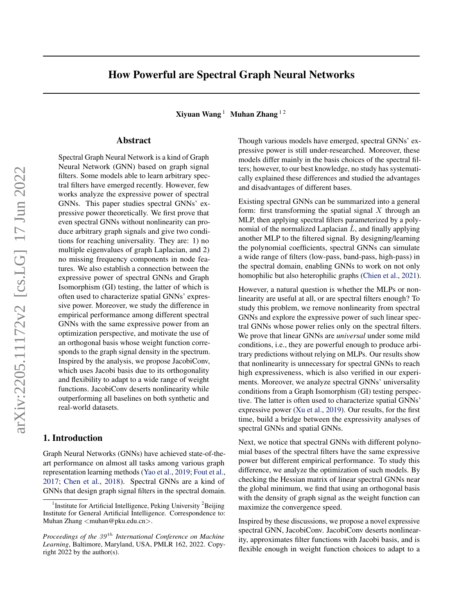# How Powerful are Spectral Graph Neural Networks

Xiyuan Wang  $1$  Muhan Zhang  $12$ 

# Abstract

Spectral Graph Neural Network is a kind of Graph Neural Network (GNN) based on graph signal filters. Some models able to learn arbitrary spectral filters have emerged recently. However, few works analyze the expressive power of spectral GNNs. This paper studies spectral GNNs' expressive power theoretically. We first prove that even spectral GNNs without nonlinearity can produce arbitrary graph signals and give two conditions for reaching universality. They are: 1) no multiple eigenvalues of graph Laplacian, and 2) no missing frequency components in node features. We also establish a connection between the expressive power of spectral GNNs and Graph Isomorphism (GI) testing, the latter of which is often used to characterize spatial GNNs' expressive power. Moreover, we study the difference in empirical performance among different spectral GNNs with the same expressive power from an optimization perspective, and motivate the use of an orthogonal basis whose weight function corresponds to the graph signal density in the spectrum. Inspired by the analysis, we propose JacobiConv, which uses Jacobi basis due to its orthogonality and flexibility to adapt to a wide range of weight functions. JacobiConv deserts nonlinearity while outperforming all baselines on both synthetic and real-world datasets.

# 1. Introduction

Graph Neural Networks (GNNs) have achieved state-of-theart performance on almost all tasks among various graph representation learning methods [\(Yao et al.,](#page-10-0) [2019;](#page-10-0) [Fout et al.,](#page-9-0) [2017;](#page-9-0) [Chen et al.,](#page-9-1) [2018\)](#page-9-1). Spectral GNNs are a kind of GNNs that design graph signal filters in the spectral domain. Though various models have emerged, spectral GNNs' expressive power is still under-researched. Moreover, these models differ mainly in the basis choices of the spectral filters; however, to our best knowledge, no study has systematically explained these differences and studied the advantages and disadvantages of different bases.

Existing spectral GNNs can be summarized into a general form: first transforming the spatial signal  $X$  through an MLP, then applying spectral filters parameterized by a polynomial of the normalized Laplacian  $\hat{L}$ , and finally applying another MLP to the filtered signal. By designing/learning the polynomial coefficients, spectral GNNs can simulate a wide range of filters (low-pass, band-pass, high-pass) in the spectral domain, enabling GNNs to work on not only homophilic but also heterophilic graphs [\(Chien et al.,](#page-9-2) [2021\)](#page-9-2).

However, a natural question is whether the MLPs or nonlinearity are useful at all, or are spectral filters enough? To study this problem, we remove nonlinearity from spectral GNNs and explore the expressive power of such linear spectral GNNs whose power relies only on the spectral filters. We prove that linear GNNs are *universal* under some mild conditions, i.e., they are powerful enough to produce arbitrary predictions without relying on MLPs. Our results show that nonlinearity is unnecessary for spectral GNNs to reach high expressiveness, which is also verified in our experiments. Moreover, we analyze spectral GNNs' universality conditions from a Graph Isomorphism (GI) testing perspective. The latter is often used to characterize spatial GNNs' expressive power [\(Xu et al.,](#page-10-1) [2019\)](#page-10-1). Our results, for the first time, build a bridge between the expressivity analyses of spectral GNNs and spatial GNNs.

Next, we notice that spectral GNNs with different polynomial bases of the spectral filters have the same expressive power but different empirical performance. To study this difference, we analyze the optimization of such models. By checking the Hessian matrix of linear spectral GNNs near the global minimum, we find that using an orthogonal basis with the density of graph signal as the weight function can maximize the convergence speed.

Inspired by these discussions, we propose a novel expressive spectral GNN, JacobiConv. JacobiConv deserts nonlinearity, approximates filter functions with Jacobi basis, and is flexible enough in weight function choices to adapt to a

<sup>&</sup>lt;sup>1</sup> Institute for Artificial Intelligence, Peking University <sup>2</sup>Beijing Institute for General Artificial Intelligence. Correspondence to: Muhan Zhang <muhan@pku.edu.cn>.

*Proceedings of the*  $39<sup>th</sup>$  *International Conference on Machine Learning*, Baltimore, Maryland, USA, PMLR 162, 2022. Copyright 2022 by the author(s).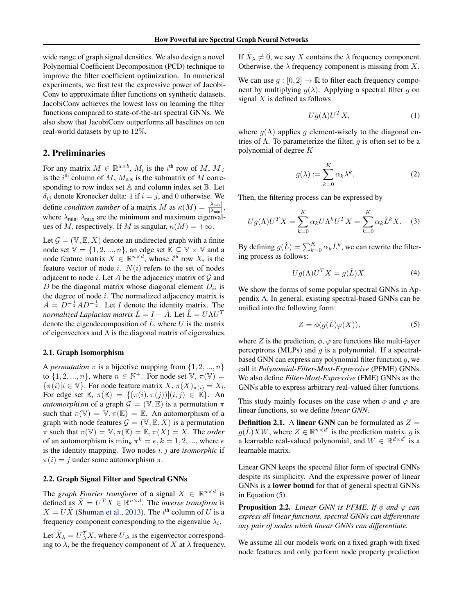wide range of graph signal densities. We also design a novel Polynomial Coefficient Decomposition (PCD) technique to improve the filter coefficient optimization. In numerical experiments, we first test the expressive power of Jacobi-Conv to approximate filter functions on synthetic datasets. JacobiConv achieves the lowest loss on learning the filter functions compared to state-of-the-art spectral GNNs. We also show that JacobiConv outperforms all baselines on ten real-world datasets by up to 12%.

# 2. Preliminaries

For any matrix  $M \in \mathbb{R}^{a \times b}$ ,  $M_i$  is the i<sup>th</sup> row of M,  $M_{i,i}$ is the i<sup>th</sup> column of M,  $M_{AB}$  is the submatrix of M corresponding to row index set A and column index set B. Let  $\delta_{ij}$  denote Kronecker delta: 1 if  $i = j$ , and 0 otherwise. We define *condition number* of a matrix M as  $\kappa(M) = \frac{|\lambda_{\text{max}}|}{|\lambda_{\text{min}}|}$ , where  $\lambda_{\text{min}}$ ,  $\lambda_{\text{max}}$  are the minimum and maximum eigenvalues of M, respectively. If M is singular,  $\kappa(M) = +\infty$ .

Let  $\mathcal{G} = (\mathbb{V}, \mathbb{E}, X)$  denote an undirected graph with a finite node set  $\mathbb{V} = \{1, 2, ..., n\}$ , an edge set  $\mathbb{E} \subseteq \mathbb{V} \times \mathbb{V}$  and a node feature matrix  $X \in \mathbb{R}^{n \times d}$ , whose  $i^{\text{th}}$  row  $X_i$  is the feature vector of node i.  $N(i)$  refers to the set of nodes adjacent to node  $i$ . Let  $A$  be the adjacency matrix of  $G$  and D be the diagonal matrix whose diagonal element  $D_{ii}$  is the degree of node  $i$ . The normalized adjacency matrix is  $\hat{A} = \overline{D}^{-\frac{1}{2}}AD^{-\frac{1}{2}}$ . Let *I* denote the identity matrix. The *normalized Laplacian matrix*  $\hat{L} = I - \hat{A}$ *. Let*  $\hat{L} = U \Lambda U^T$ denote the eigendecomposition of  $\hat{L}$ , where U is the matrix of eigenvectors and  $\Lambda$  is the diagonal matrix of eigenvalues.

#### 2.1. Graph Isomorphism

A *permutation*  $\pi$  is a bijective mapping from  $\{1, 2, ..., n\}$ to  $\{1, 2, ..., n\}$ , where  $n \in \mathbb{N}^+$ . For node set  $\mathbb{V}, \pi(\mathbb{V}) =$  ${\lbrace \pi(i) | i \in \mathbb{V} \rbrace}$ . For node feature matrix  $X, \pi(X)_{\pi(i)} = X_i$ . For edge set  $\mathbb{E}, \pi(\mathbb{E}) = \{(\pi(i), \pi(j)) | (i, j) \in \mathbb{E}\}.$  An *automorphism* of a graph  $\mathcal{G} = (\mathbb{V}, \mathbb{E})$  is a permutation  $\pi$ such that  $\pi(\mathbb{V}) = \mathbb{V}, \pi(\mathbb{E}) = \mathbb{E}$ . An automorphism of a graph with node features  $\mathcal{G} = (\mathbb{V}, \mathbb{E}, X)$  is a permutation  $\pi$  such that  $\pi(\mathbb{V}) = \mathbb{V}, \pi(\mathbb{E}) = \mathbb{E}, \pi(X) = X$ . The *order* of an automorphism is  $\min_k \pi^k = e, k = 1, 2, ...,$  where  $e$ is the identity mapping. Two nodes i, j are *isomorphic* if  $\pi(i) = j$  under some automorphism  $\pi$ .

#### 2.2. Graph Signal Filter and Spectral GNNs

The *graph Fourier transform* of a signal  $X \in \mathbb{R}^{n \times d}$  is defined as  $\tilde{X} = U^T X \in \mathbb{R}^{n \times d}$ . The *inverse transform* is  $X = U\tilde{X}$  [\(Shuman et al.,](#page-10-2) [2013\)](#page-10-2). The *i*<sup>th</sup> column of U is a frequency component corresponding to the eigenvalue  $\lambda_i$ .

Let  $\tilde{X}_{\lambda} = U_{;\lambda}^T X$ , where  $U_{;\lambda}$  is the eigenvector corresponding to  $\lambda$ , be the frequency component of X at  $\lambda$  frequency.

If  $\tilde{X}_{\lambda} \neq \vec{0}$ , we say X contains the  $\lambda$  frequency component. Otherwise, the  $\lambda$  frequency component is missing from X.

We can use  $g : [0, 2] \to \mathbb{R}$  to filter each frequency component by multiplying  $g(\lambda)$ . Applying a spectral filter g on signal  $X$  is defined as follows

$$
Ug(\Lambda)U^TX,\tag{1}
$$

where  $g(\Lambda)$  applies g element-wisely to the diagonal entries of  $\Lambda$ . To parameterize the filter, g is often set to be a polynomial of degree K

$$
g(\lambda) := \sum_{k=0}^{K} \alpha_k \lambda^k.
$$
 (2)

Then, the filtering process can be expressed by

$$
Ug(\Lambda)U^{T}X = \sum_{k=0}^{K} \alpha_{k}U\Lambda^{k}U^{T}X = \sum_{k=0}^{K} \alpha_{k}\hat{L}^{k}X.
$$
 (3)

By defining  $g(\hat{L}) = \sum_{k=0}^{K} \alpha_k \hat{L}^k$ , we can rewrite the filtering process as follows:

$$
Ug(\Lambda)U^TX = g(\hat{L})X.
$$
 (4)

We show the forms of some popular spectral GNNs in Appendix [A.](#page-11-0) In general, existing spectral-based GNNs can be unified into the following form:

<span id="page-1-0"></span>
$$
Z = \phi(g(\hat{L})\varphi(X)),\tag{5}
$$

where Z is the prediction,  $\phi$ ,  $\varphi$  are functions like multi-layer perceptrons (MLPs) and  $q$  is a polynomial. If a spectralbased GNN can express any polynomial filter function  $q$ , we call it *Polynomial-Filter-Most-Expressive* (PFME) GNNs. We also define *Filter-Most-Expressive* (FME) GNNs as the GNNs able to express arbitrary real-valued filter functions.

This study mainly focuses on the case when  $\phi$  and  $\varphi$  are linear functions, so we define *linear GNN*.

**Definition 2.1.** A linear GNN can be formulated as  $Z =$  $g(\hat{L})XW$ , where  $Z \in \mathbb{R}^{n \times d'}$  is the prediction matrix, g is a learnable real-valued polynomial, and  $W \in \mathbb{R}^{d \times d'}$  is a learnable matrix.

Linear GNN keeps the spectral filter form of spectral GNNs despite its simplicity. And the expressive power of linear GNNs is a lower bound for that of general spectral GNNs in Equation [\(5\)](#page-1-0).

**Proposition 2.2.** *Linear GNN is PFME. If*  $\phi$  *and*  $\varphi$  *can express all linear functions, spectral GNNs can differentiate any pair of nodes which linear GNNs can differentiate.*

We assume all our models work on a fixed graph with fixed node features and only perform node property prediction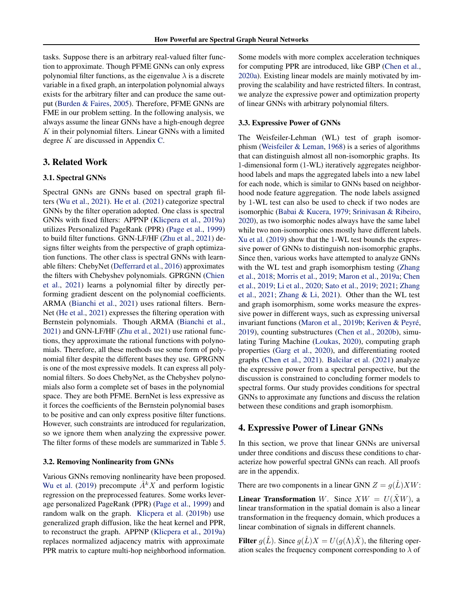tasks. Suppose there is an arbitrary real-valued filter function to approximate. Though PFME GNNs can only express polynomial filter functions, as the eigenvalue  $\lambda$  is a discrete variable in a fixed graph, an interpolation polynomial always exists for the arbitrary filter and can produce the same output [\(Burden & Faires,](#page-9-3) [2005\)](#page-9-3). Therefore, PFME GNNs are FME in our problem setting. In the following analysis, we always assume the linear GNNs have a high-enough degree  $K$  in their polynomial filters. Linear GNNs with a limited degree K are discussed in Appendix [C.](#page-15-0)

# 3. Related Work

## 3.1. Spectral GNNs

Spectral GNNs are GNNs based on spectral graph filters [\(Wu et al.,](#page-10-3) [2021\)](#page-10-3). [He et al.](#page-9-4) [\(2021\)](#page-9-4) categorize spectral GNNs by the filter operation adopted. One class is spectral GNNs with fixed filters: APPNP [\(Klicpera et al.,](#page-9-5) [2019a\)](#page-9-5) utilizes Personalized PageRank (PPR) [\(Page et al.,](#page-10-4) [1999\)](#page-10-4) to build filter functions. GNN-LF/HF [\(Zhu et al.,](#page-10-5) [2021\)](#page-10-5) designs filter weights from the perspective of graph optimization functions. The other class is spectral GNNs with learnable filters: ChebyNet [\(Defferrard et al.,](#page-9-6) [2016\)](#page-9-6) approximates the filters with Chebyshev polynomials. GPRGNN [\(Chien](#page-9-2) [et al.,](#page-9-2) [2021\)](#page-9-2) learns a polynomial filter by directly performing gradient descent on the polynomial coefficients. ARMA [\(Bianchi et al.,](#page-9-7) [2021\)](#page-9-7) uses rational filters. Bern-Net [\(He et al.,](#page-9-4) [2021\)](#page-9-4) expresses the filtering operation with Bernstein polynomials. Though ARMA [\(Bianchi et al.,](#page-9-7) [2021\)](#page-9-7) and GNN-LF/HF [\(Zhu et al.,](#page-10-5) [2021\)](#page-10-5) use rational functions, they approximate the rational functions with polynomials. Therefore, all these methods use some form of polynomial filter despite the different bases they use. GPRGNN is one of the most expressive models. It can express all polynomial filters. So does ChebyNet, as the Chebyshev polynomials also form a complete set of bases in the polynomial space. They are both PFME. BernNet is less expressive as it forces the coefficients of the Bernstein polynomial bases to be positive and can only express positive filter functions. However, such constraints are introduced for regularization, so we ignore them when analyzing the expressive power. The filter forms of these models are summarized in Table [5.](#page-11-1)

#### 3.2. Removing Nonlinearity from GNNs

Various GNNs removing nonlinearity have been proposed. [Wu et al.](#page-10-6) [\(2019\)](#page-10-6) precompute  $\hat{A}^k X$  and perform logistic regression on the preprocessed features. Some works leverage personalized PageRank (PPR) [\(Page et al.,](#page-10-4) [1999\)](#page-10-4) and random walk on the graph. [Klicpera et al.](#page-9-8) [\(2019b\)](#page-9-8) use generalized graph diffusion, like the heat kernel and PPR, to reconstruct the graph. APPNP [\(Klicpera et al.,](#page-9-5) [2019a\)](#page-9-5) replaces normalized adjacency matrix with approximate PPR matrix to capture multi-hop neighborhood information. Some models with more complex acceleration techniques for computing PPR are introduced, like GBP [\(Chen et al.,](#page-9-9) [2020a\)](#page-9-9). Existing linear models are mainly motivated by improving the scalability and have restricted filters. In contrast, we analyze the expressive power and optimization property of linear GNNs with arbitrary polynomial filters.

### 3.3. Expressive Power of GNNs

The Weisfeiler-Lehman (WL) test of graph isomorphism [\(Weisfeiler & Leman,](#page-10-7) [1968\)](#page-10-7) is a series of algorithms that can distinguish almost all non-isomorphic graphs. Its 1-dimensional form (1-WL) iteratively aggregates neighborhood labels and maps the aggregated labels into a new label for each node, which is similar to GNNs based on neighborhood node feature aggregation. The node labels assigned by 1-WL test can also be used to check if two nodes are isomorphic [\(Babai & Kucera,](#page-9-10) [1979;](#page-9-10) [Srinivasan & Ribeiro,](#page-10-8) [2020\)](#page-10-8), as two isomorphic nodes always have the same label while two non-isomorphic ones mostly have different labels. [Xu et al.](#page-10-1) [\(2019\)](#page-10-1) show that the 1-WL test bounds the expressive power of GNNs to distinguish non-isomorphic graphs. Since then, various works have attempted to analyze GNNs with the WL test and graph isomorphism testing [\(Zhang](#page-10-9) [et al.,](#page-10-9) [2018;](#page-10-9) [Morris et al.,](#page-10-10) [2019;](#page-10-10) [Maron et al.,](#page-9-11) [2019a;](#page-9-11) [Chen](#page-9-12) [et al.,](#page-9-12) [2019;](#page-9-12) [Li et al.,](#page-9-13) [2020;](#page-9-13) [Sato et al.,](#page-10-11) [2019;](#page-10-11) [2021;](#page-10-12) [Zhang](#page-10-13) [et al.,](#page-10-13) [2021;](#page-10-13) [Zhang & Li,](#page-10-14) [2021\)](#page-10-14). Other than the WL test and graph isomorphism, some works measure the expressive power in different ways, such as expressing universal invariant functions [\(Maron et al.,](#page-10-15) [2019b;](#page-10-15) Keriven & Peyré, [2019\)](#page-9-14), counting substructures [\(Chen et al.,](#page-9-15) [2020b\)](#page-9-15), simulating Turing Machine [\(Loukas,](#page-9-16) [2020\)](#page-9-16), computing graph properties [\(Garg et al.,](#page-9-17) [2020\)](#page-9-17), and differentiating rooted graphs [\(Chen et al.,](#page-9-18) [2021\)](#page-9-18). [Balcilar et al.](#page-9-19) [\(2021\)](#page-9-19) analyze the expressive power from a spectral perspective, but the discussion is constrained to concluding former models to spectral forms. Our study provides conditions for spectral GNNs to approximate any functions and discuss the relation between these conditions and graph isomorphism.

### 4. Expressive Power of Linear GNNs

In this section, we prove that linear GNNs are universal under three conditions and discuss these conditions to characterize how powerful spectral GNNs can reach. All proofs are in the appendix.

There are two components in a linear GNN  $Z = g(\hat{L})XW$ :

**Linear Transformation** W. Since  $XW = U(X\tilde{X}W)$ , a linear transformation in the spatial domain is also a linear transformation in the frequency domain, which produces a linear combination of signals in different channels.

Filter  $q(\hat{L})$ . Since  $q(\hat{L})X = U(q(\Lambda)\tilde{X})$ , the filtering operation scales the frequency component corresponding to  $\lambda$  of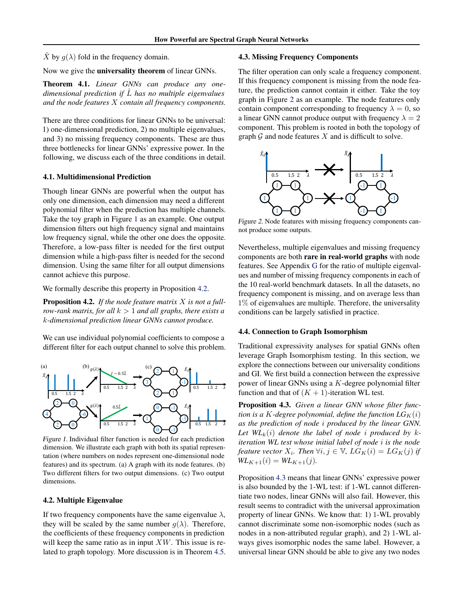$\tilde{X}$  by  $g(\lambda)$  fold in the frequency domain.

Now we give the universality theorem of linear GNNs.

<span id="page-3-4"></span>Theorem 4.1. *Linear GNNs can produce any onedimensional prediction if* Lˆ *has no multiple eigenvalues and the node features* X *contain all frequency components.*

There are three conditions for linear GNNs to be universal: 1) one-dimensional prediction, 2) no multiple eigenvalues, and 3) no missing frequency components. These are thus three bottlenecks for linear GNNs' expressive power. In the following, we discuss each of the three conditions in detail.

#### <span id="page-3-5"></span>4.1. Multidimensional Prediction

Though linear GNNs are powerful when the output has only one dimension, each dimension may need a different polynomial filter when the prediction has multiple channels. Take the toy graph in Figure [1](#page-3-0) as an example. One output dimension filters out high frequency signal and maintains low frequency signal, while the other one does the opposite. Therefore, a low-pass filter is needed for the first output dimension while a high-pass filter is needed for the second dimension. Using the same filter for all output dimensions cannot achieve this purpose.

We formally describe this property in Proposition [4.2.](#page-3-1)

<span id="page-3-1"></span>Proposition 4.2. *If the node feature matrix* X *is not a fullrow-rank matrix, for all*  $k > 1$  *and all graphs, there exists a* k*-dimensional prediction linear GNNs cannot produce.*

We can use individual polynomial coefficients to compose a different filter for each output channel to solve this problem.



<span id="page-3-0"></span>Figure 1. Individual filter function is needed for each prediction dimension. We illustrate each graph with both its spatial representation (where numbers on nodes represent one-dimensional node features) and its spectrum. (a) A graph with its node features. (b) Two different filters for two output dimensions. (c) Two output dimensions.

#### 4.2. Multiple Eigenvalue

If two frequency components have the same eigenvalue  $\lambda$ , they will be scaled by the same number  $q(\lambda)$ . Therefore, the coefficients of these frequency components in prediction will keep the same ratio as in input  $XW$ . This issue is related to graph topology. More discussion is in Theorem [4.5.](#page-4-0)

### 4.3. Missing Frequency Components

The filter operation can only scale a frequency component. If this frequency component is missing from the node feature, the prediction cannot contain it either. Take the toy graph in Figure [2](#page-3-2) as an example. The node features only contain component corresponding to frequency  $\lambda = 0$ , so a linear GNN cannot produce output with frequency  $\lambda = 2$ component. This problem is rooted in both the topology of graph  $G$  and node features  $X$  and is difficult to solve.



<span id="page-3-2"></span>Figure 2. Node features with missing frequency components cannot produce some outputs.

Nevertheless, multiple eigenvalues and missing frequency components are both rare in real-world graphs with node features. See Appendix [G](#page-17-0) for the ratio of multiple eigenvalues and number of missing frequency components in each of the 10 real-world benchmark datasets. In all the datasets, no frequency component is missing, and on average less than 1% of eigenvalues are multiple. Therefore, the universality conditions can be largely satisfied in practice.

#### 4.4. Connection to Graph Isomorphism

Traditional expressivity analyses for spatial GNNs often leverage Graph Isomorphism testing. In this section, we explore the connections between our universality conditions and GI. We first build a connection between the expressive power of linear GNNs using a K-degree polynomial filter function and that of  $(K + 1)$ -iteration WL test.

<span id="page-3-3"></span>Proposition 4.3. *Given a linear GNN whose filter function is a K-degree polynomial, define the function*  $LG_K(i)$ *as the prediction of node* i *produced by the linear GNN.* Let  $WL_k(i)$  denote the label of node *i* produced by k*iteration WL test whose initial label of node* i *is the node feature vector*  $X_i$ *. Then*  $\forall i, j \in \mathbb{V}$ *,*  $LG_K(i) = LG_K(j)$  *if*  $WL_{K+1}(i) = WL_{K+1}(j).$ 

Proposition [4.3](#page-3-3) means that linear GNNs' expressive power is also bounded by the 1-WL test: if 1-WL cannot differentiate two nodes, linear GNNs will also fail. However, this result seems to contradict with the universal approximation property of linear GNNs. We know that: 1) 1-WL provably cannot discriminate some non-isomorphic nodes (such as nodes in a non-attributed regular graph), and 2) 1-WL always gives isomorphic nodes the same label. However, a universal linear GNN should be able to give any two nodes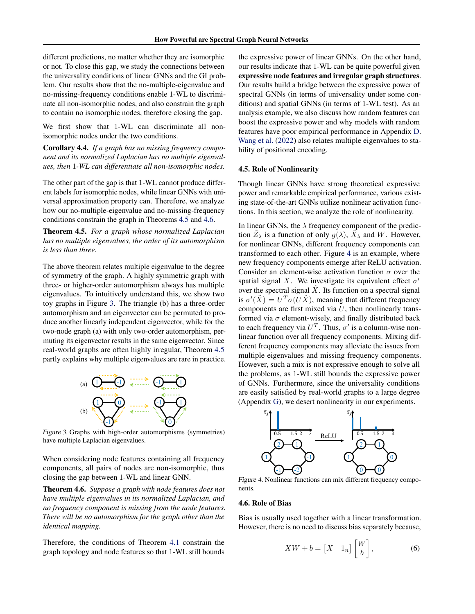different predictions, no matter whether they are isomorphic or not. To close this gap, we study the connections between the universality conditions of linear GNNs and the GI problem. Our results show that the no-multiple-eigenvalue and no-missing-frequency conditions enable 1-WL to discriminate all non-isomorphic nodes, and also constrain the graph to contain no isomorphic nodes, therefore closing the gap.

We first show that 1-WL can discriminate all nonisomorphic nodes under the two conditions.

<span id="page-4-5"></span>Corollary 4.4. *If a graph has no missing frequency component and its normalized Laplacian has no multiple eigenvalues, then* 1*-WL can differentiate all non-isomorphic nodes.*

The other part of the gap is that 1-WL cannot produce different labels for isomorphic nodes, while linear GNNs with universal approximation property can. Therefore, we analyze how our no-multiple-eigenvalue and no-missing-frequency conditions constrain the graph in Theorems [4.5](#page-4-0) and [4.6.](#page-4-1)

<span id="page-4-0"></span>Theorem 4.5. *For a graph whose normalized Laplacian has no multiple eigenvalues, the order of its automorphism is less than three.*

The above theorem relates multiple eigenvalue to the degree of symmetry of the graph. A highly symmetric graph with three- or higher-order automorphism always has multiple eigenvalues. To intuitively understand this, we show two toy graphs in Figure [3.](#page-4-2) The triangle (b) has a three-order automorphism and an eigenvector can be permuted to produce another linearly independent eigenvector, while for the two-node graph (a) with only two-order automorphism, permuting its eigenvector results in the same eigenvector. Since real-world graphs are often highly irregular, Theorem [4.5](#page-4-0) partly explains why multiple eigenvalues are rare in practice.



<span id="page-4-2"></span>Figure 3. Graphs with high-order automorphisms (symmetries) have multiple Laplacian eigenvalues.

When considering node features containing all frequency components, all pairs of nodes are non-isomorphic, thus closing the gap between 1-WL and linear GNN.

<span id="page-4-1"></span>Theorem 4.6. *Suppose a graph with node features does not have multiple eigenvalues in its normalized Laplacian, and no frequency component is missing from the node features. There will be no automorphism for the graph other than the identical mapping.*

Therefore, the conditions of Theorem [4.1](#page-3-4) constrain the graph topology and node features so that 1-WL still bounds the expressive power of linear GNNs. On the other hand, our results indicate that 1-WL can be quite powerful given expressive node features and irregular graph structures. Our results build a bridge between the expressive power of spectral GNNs (in terms of universality under some conditions) and spatial GNNs (in terms of 1-WL test). As an analysis example, we also discuss how random features can boost the expressive power and why models with random features have poor empirical performance in Appendix [D.](#page-15-1) [Wang et al.](#page-10-16) [\(2022\)](#page-10-16) also relates multiple eigenvalues to stability of positional encoding.

### 4.5. Role of Nonlinearity

Though linear GNNs have strong theoretical expressive power and remarkable empirical performance, various existing state-of-the-art GNNs utilize nonlinear activation functions. In this section, we analyze the role of nonlinearity.

In linear GNNs, the  $\lambda$  frequency component of the prediction  $\tilde{Z}_{\lambda}$  is a function of only  $g(\lambda)$ ,  $\tilde{X}_{\lambda}$  and W. However, for nonlinear GNNs, different frequency components can transformed to each other. Figure [4](#page-4-3) is an example, where new frequency components emerge after ReLU activation. Consider an element-wise activation function  $\sigma$  over the spatial signal X. We investigate its equivalent effect  $\sigma'$ over the spectral signal  $\tilde{X}$ . Its function on a spectral signal is  $\sigma'(\tilde{X}) = U^T \sigma(\tilde{U}\tilde{X})$ , meaning that different frequency components are first mixed via  $U$ , then nonlinearly transformed via  $\sigma$  element-wisely, and finally distributed back to each frequency via  $U<sup>T</sup>$ . Thus,  $\sigma'$  is a column-wise nonlinear function over all frequency components. Mixing different frequency components may alleviate the issues from multiple eigenvalues and missing frequency components. However, such a mix is not expressive enough to solve all the problems, as 1-WL still bounds the expressive power of GNNs. Furthermore, since the universality conditions are easily satisfied by real-world graphs to a large degree (Appendix [G\)](#page-17-0), we desert nonlinearity in our experiments.



<span id="page-4-3"></span>Figure 4. Nonlinear functions can mix different frequency components.

#### <span id="page-4-4"></span>4.6. Role of Bias

Bias is usually used together with a linear transformation. However, there is no need to discuss bias separately because,

$$
XW + b = \begin{bmatrix} X & 1_n \end{bmatrix} \begin{bmatrix} W \\ b \end{bmatrix}, \tag{6}
$$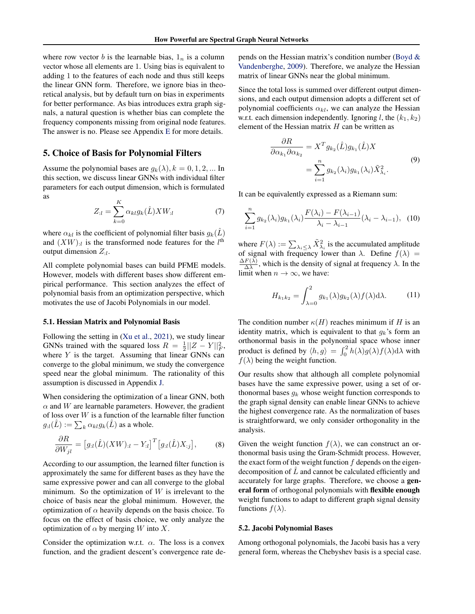where row vector b is the learnable bias,  $1_n$  is a column vector whose all elements are 1. Using bias is equivalent to adding 1 to the features of each node and thus still keeps the linear GNN form. Therefore, we ignore bias in theoretical analysis, but by default turn on bias in experiments for better performance. As bias introduces extra graph signals, a natural question is whether bias can complete the frequency components missing from original node features. The answer is no. Please see Appendix [E](#page-16-0) for more details.

# 5. Choice of Basis for Polynomial Filters

Assume the polynomial bases are  $g_k(\lambda)$ ,  $k = 0, 1, 2, ...$  In this section, we discuss linear GNNs with individual filter parameters for each output dimension, which is formulated as

$$
Z_{:l} = \sum_{k=0}^{K} \alpha_{kl} g_k(\hat{L}) X W_{:l} \tag{7}
$$

where  $\alpha_{kl}$  is the coefficient of polynomial filter basis  $g_k(\tilde{L})$ and  $(XW)_{:l}$  is the transformed node features for the  $l^{\text{th}}$ output dimension  $Z_{:l}$ .

All complete polynomial bases can build PFME models. However, models with different bases show different empirical performance. This section analyzes the effect of polynomial basis from an optimization perspective, which motivates the use of Jacobi Polynomials in our model.

#### 5.1. Hessian Matrix and Polynomial Basis

Following the setting in [\(Xu et al.,](#page-10-17) [2021\)](#page-10-17), we study linear GNNs trained with the squared loss  $R = \frac{1}{2} ||Z - Y||_F^2$ , where  $Y$  is the target. Assuming that linear GNNs can converge to the global minimum, we study the convergence speed near the global minimum. The rationality of this assumption is discussed in Appendix [J.](#page-18-0)

When considering the optimization of a linear GNN, both  $\alpha$  and W are learnable parameters. However, the gradient of loss over  $W$  is a function of the learnable filter function  $g_{:l}(\hat{L}):=\sum_k \alpha_{kl}g_k(\hat{L})$  as a whole.

$$
\frac{\partial R}{\partial W_{jl}} = \left[ g_{il}(\hat{L})(XW)_{il} - Y_{il} \right]^T \left[ g_{il}(\hat{L})X_{:j} \right],\tag{8}
$$

According to our assumption, the learned filter function is approximately the same for different bases as they have the same expressive power and can all converge to the global minimum. So the optimization of  $W$  is irrelevant to the choice of basis near the global minimum. However, the optimization of  $\alpha$  heavily depends on the basis choice. To focus on the effect of basis choice, we only analyze the optimization of  $\alpha$  by merging W into X.

Consider the optimization w.r.t.  $\alpha$ . The loss is a convex function, and the gradient descent's convergence rate depends on the Hessian matrix's condition number [\(Boyd &](#page-9-20) [Vandenberghe,](#page-9-20) [2009\)](#page-9-20). Therefore, we analyze the Hessian matrix of linear GNNs near the global minimum.

Since the total loss is summed over different output dimensions, and each output dimension adopts a different set of polynomial coefficients  $\alpha_{kl}$ , we can analyze the Hessian w.r.t. each dimension independently. Ignoring l, the  $(k_1, k_2)$ element of the Hessian matrix  $H$  can be written as

$$
\frac{\partial R}{\partial \alpha_{k_1} \partial \alpha_{k_2}} = X^T g_{k_2}(\hat{L}) g_{k_1}(\hat{L}) X
$$

$$
= \sum_{i=1}^n g_{k_2}(\lambda_i) g_{k_1}(\lambda_i) \tilde{X}_{\lambda_i}^2.
$$
(9)

It can be equivalently expressed as a Riemann sum:

$$
\sum_{i=1}^{n} g_{k_2}(\lambda_i) g_{k_1}(\lambda_i) \frac{F(\lambda_i) - F(\lambda_{i-1})}{\lambda_i - \lambda_{i-1}} (\lambda_i - \lambda_{i-1}), \tag{10}
$$

where  $F(\lambda) := \sum_{\lambda_i \leq \lambda} \tilde{X}_{\lambda_i}^2$  is the accumulated amplitude of signal with frequency lower than  $\lambda$ . Define  $f(\lambda) = \lambda E(\lambda)$  $\Delta F(\lambda)$  $\frac{F(\lambda)}{\Delta \lambda}$ , which is the density of signal at frequency  $\lambda$ . In the limit when  $n \to \infty$ , we have:

$$
H_{k_1k_2} = \int_{\lambda=0}^{2} g_{k_1}(\lambda) g_{k_2}(\lambda) f(\lambda) d\lambda.
$$
 (11)

The condition number  $\kappa(H)$  reaches minimum if H is an identity matrix, which is equivalent to that  $g_k$ 's form an orthonormal basis in the polynomial space whose inner product is defined by  $\langle h, g \rangle = \int_0^2 h(\lambda) g(\lambda) f(\lambda) d\lambda$  with  $f(\lambda)$  being the weight function.

Our results show that although all complete polynomial bases have the same expressive power, using a set of orthonormal bases  $g_k$  whose weight function corresponds to the graph signal density can enable linear GNNs to achieve the highest convergence rate. As the normalization of bases is straightforward, we only consider orthogonality in the analysis.

Given the weight function  $f(\lambda)$ , we can construct an orthonormal basis using the Gram-Schmidt process. However, the exact form of the weight function  $f$  depends on the eigendecomposition of  $L$  and cannot be calculated efficiently and accurately for large graphs. Therefore, we choose a general form of orthogonal polynomials with flexible enough weight functions to adapt to different graph signal density functions  $f(\lambda)$ .

#### 5.2. Jacobi Polynomial Bases

Among orthogonal polynomials, the Jacobi basis has a very general form, whereas the Chebyshev basis is a special case.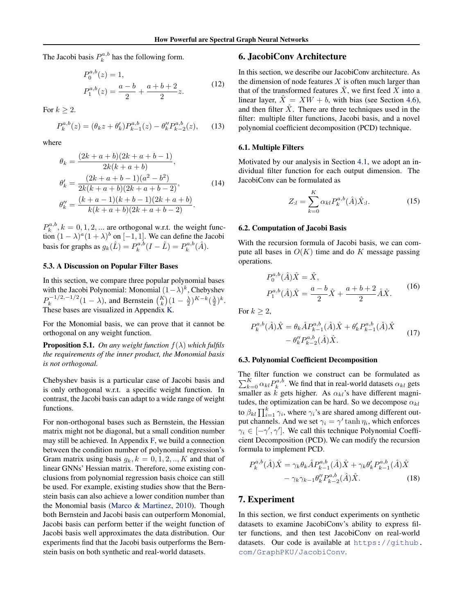The Jacobi basis  $P_k^{a,b}$  has the following form.

$$
P_0^{a,b}(z) = 1,
$$
  
\n
$$
P_1^{a,b}(z) = \frac{a-b}{2} + \frac{a+b+2}{2}z.
$$
\n(12)

For  $k \geq 2$ .

$$
P_k^{a,b}(z) = (\theta_k z + \theta'_k) P_{k-1}^{a,b}(z) - \theta''_k P_{k-2}^{a,b}(z), \qquad (13)
$$

where

$$
\theta_k = \frac{(2k+a+b)(2k+a+b-1)}{2k(k+a+b)},
$$
  
\n
$$
\theta'_k = \frac{(2k+a+b-1)(a^2-b^2)}{2k(k+a+b)(2k+a+b-2)},
$$
  
\n
$$
\theta''_k = \frac{(k+a-1)(k+b-1)(2k+a+b)}{k(k+a+b)(2k+a+b-2)}.
$$
\n(14)

 $P_k^{a,b}, k = 0, 1, 2, \dots$  are orthogonal w.r.t. the weight function  $(1 - \lambda)^a (1 + \lambda)^b$  on [-1, 1]. We can define the Jacobi basis for graphs as  $g_k(\hat{L}) = P_k^{a,b}(I - \hat{L}) = P_k^{a,b}(\hat{A})$ .

#### <span id="page-6-0"></span>5.3. A Discussion on Popular Filter Bases

In this section, we compare three popular polynomial bases with the Jacobi Polynomial: Monomial  $(1 - \lambda)^k$ , Chebyshev  $P_k^{-1/2,-1/2}$  $(k_k)^{-1/2,-1/2}(1-\lambda)$ , and Bernstein  $\binom{K}{k}(1-\frac{\lambda}{2})^{K-k}(\frac{\lambda}{2})^k$ . These bases are visualized in Appendix [K.](#page-19-0)

For the Monomial basis, we can prove that it cannot be orthogonal on any weight function.

<span id="page-6-1"></span>**Proposition 5.1.** *On any weight function*  $f(\lambda)$  *which fulfils the requirements of the inner product, the Monomial basis is not orthogonal.*

Chebyshev basis is a particular case of Jacobi basis and is only orthogonal w.r.t. a specific weight function. In contrast, the Jacobi basis can adapt to a wide range of weight functions.

For non-orthogonal bases such as Bernstein, the Hessian matrix might not be diagonal, but a small condition number may still be achieved. In Appendix [F,](#page-17-1) we build a connection between the condition number of polynomial regression's Gram matrix using basis  $g_k, k = 0, 1, 2, \dots, K$  and that of linear GNNs' Hessian matrix. Therefore, some existing conclusions from polynomial regression basis choice can still be used. For example, existing studies show that the Bernstein basis can also achieve a lower condition number than the Monomial basis [\(Marco & Martinez,](#page-9-21) [2010\)](#page-9-21). Though both Bernstein and Jacobi basis can outperform Monomial, Jacobi basis can perform better if the weight function of Jacobi basis well approximates the data distribution. Our experiments find that the Jacobi basis outperforms the Bernstein basis on both synthetic and real-world datasets.

### 6. JacobiConv Architecture

In this section, we describe our JacobiConv architecture. As the dimension of node features  $X$  is often much larger than that of the transformed features  $\hat{X}$ , we first feed X into a linear layer,  $\hat{X} = XW + b$ , with bias (see Section [4.6\)](#page-4-4), and then filter  $\hat{X}$ . There are three techniques used in the filter: multiple filter functions, Jacobi basis, and a novel polynomial coefficient decomposition (PCD) technique.

#### 6.1. Multiple Filters

Motivated by our analysis in Section [4.1,](#page-3-5) we adopt an individual filter function for each output dimension. The JacobiConv can be formulated as

$$
Z_{:l} = \sum_{k=0}^{K} \alpha_{kl} P_k^{a,b}(\hat{A}) \hat{X}_{:l}.
$$
 (15)

#### 6.2. Computation of Jacobi Basis

With the recursion formula of Jacobi basis, we can compute all bases in  $O(K)$  time and do K message passing operations.

$$
P_0^{a,b}(\hat{A})\hat{X} = \hat{X},
$$
  
\n
$$
P_1^{a,b}(\hat{A})\hat{X} = \frac{a-b}{2}\hat{X} + \frac{a+b+2}{2}\hat{A}\hat{X}.
$$
\n(16)

For  $k \geq 2$ ,

$$
P_k^{a,b}(\hat{A})\hat{X} = \theta_k \hat{A} P_{k-1}^{a,b}(\hat{A})\hat{X} + \theta'_k P_{k-1}^{a,b}(\hat{A})\hat{X}
$$

$$
-\theta''_k P_{k-2}^{a,b}(\hat{A})\hat{X}.
$$
 (17)

#### 6.3. Polynomial Coefficient Decomposition

The filter function we construct can be formulated as  $\sum_{k=0}^{K} \alpha_{kl} P_k^{a,b}$ . We find that in real-world datasets  $\alpha_{kl}$  gets smaller as k gets higher. As  $\alpha_{kl}$ 's have different magnitudes, the optimization can be hard. So we decompose  $\alpha_{kl}$ to  $\beta_{kl}\prod_{i=1}^k\gamma_i,$  where  $\gamma_i$ 's are shared among different output channels. And we set  $\gamma_i = \gamma' \tanh \eta_i$ , which enforces  $\gamma_i \in [-\gamma', \gamma']$ . We call this technique Polynomial Coefficient Decomposition (PCD). We can modify the recursion formula to implement PCD.

$$
P_{k}^{a,b}(\hat{A})\hat{X} = \gamma_{k}\theta_{k}\hat{A}P_{k-1}^{a,b}(\hat{A})\hat{X} + \gamma_{k}\theta'_{k}P_{k-1}^{a,b}(\hat{A})\hat{X} - \gamma_{k}\gamma_{k-1}\theta''_{k}P_{k-2}^{a,b}(\hat{A})\hat{X}.
$$
 (18)

### 7. Experiment

In this section, we first conduct experiments on synthetic datasets to examine JacobiConv's ability to express filter functions, and then test JacobiConv on real-world datasets. Our code is available at [https://github.](https://github.com/GraphPKU/JacobiConv) [com/GraphPKU/JacobiConv](https://github.com/GraphPKU/JacobiConv).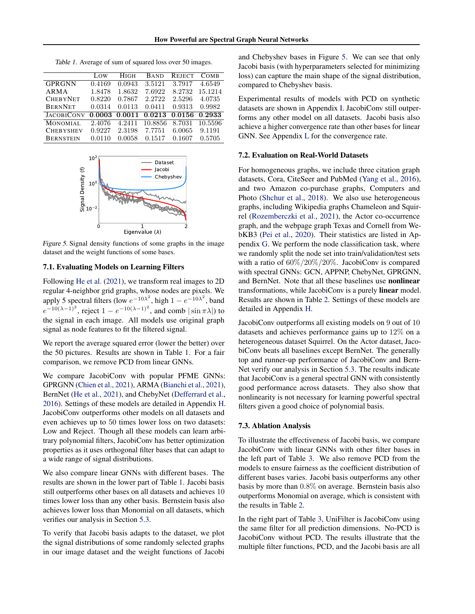<span id="page-7-0"></span>Table 1. Average of sum of squared loss over 50 images.

|                   | LOW.   | HIGH   | <b>BAND</b> | <b>REJECT</b> | <b>COMB</b> |
|-------------------|--------|--------|-------------|---------------|-------------|
| <b>GPRGNN</b>     | 0.4169 | 0.0943 | 3.5121      | 3.7917        | 4.6549      |
| ARMA              | 1.8478 | 1.8632 | 7.6922      | 8.2732        | 15.1214     |
| <b>CHEBYNET</b>   | 0.8220 | 0.7867 | 2.2722      | 2.5296        | 4.0735      |
| <b>BERNNET</b>    | 0.0314 | 0.0113 | 0.0411      | 0.9313        | 0.9982      |
| <b>JACOBICONV</b> | 0.0003 | 0.0011 | 0.0213      | 0.0156        | 0.2933      |
| <b>MONOMIAL</b>   | 2.4076 | 4.2411 | 10.8856     | 8.7031        | 10.5596     |
| <b>CHEBYSHEV</b>  | 0.9227 | 2.3198 | 7.7751      | 6.0065        | 9.1191      |
| <b>BERNSTEIN</b>  | 0.0110 | 0.0058 | 0.1517      | 0.1607        | 0.5705      |



<span id="page-7-1"></span>Figure 5. Signal density functions of some graphs in the image dataset and the weight functions of some bases.

### 7.1. Evaluating Models on Learning Filters

Following [He et al.](#page-9-4) [\(2021\)](#page-9-4), we transform real images to 2D regular 4-neighbor grid graphs, whose nodes are pixels. We apply 5 spectral filters (low  $e^{-10\lambda^2}$ , high  $1 - e^{-10\lambda^2}$ , band  $e^{-10(\lambda-1)^2}$ , reject  $1 - e^{-10(\lambda-1)^2}$ , and comb  $|\sin \pi \lambda|$ ) to the signal in each image. All models use original graph signal as node features to fit the filtered signal.

We report the average squared error (lower the better) over the 50 pictures. Results are shown in Table [1.](#page-7-0) For a fair comparison, we remove PCD from linear GNNs.

We compare JacobiConv with popular PFME GNNs: GPRGNN [\(Chien et al.,](#page-9-2) [2021\)](#page-9-2), ARMA [\(Bianchi et al.,](#page-9-7) [2021\)](#page-9-7), BernNet [\(He et al.,](#page-9-4) [2021\)](#page-9-4), and ChebyNet [\(Defferrard et al.,](#page-9-6) [2016\)](#page-9-6). Settings of these models are detailed in Appendix [H.](#page-17-2) JacobiConv outperforms other models on all datasets and even achieves up to 50 times lower loss on two datasets: Low and Reject. Though all these models can learn arbitrary polynomial filters, JacobiConv has better optimization properties as it uses orthogonal filter bases that can adapt to a wide range of signal distributions.

We also compare linear GNNs with different bases. The results are shown in the lower part of Table [1.](#page-7-0) Jacobi basis still outperforms other bases on all datasets and achieves 10 times lower loss than any other basis. Bernstein basis also achieves lower loss than Monomial on all datasets, which verifies our analysis in Section [5.3.](#page-6-0)

To verify that Jacobi basis adapts to the dataset, we plot the signal distributions of some randomly selected graphs in our image dataset and the weight functions of Jacobi

and Chebyshev bases in Figure [5.](#page-7-1) We can see that only Jacobi basis (with hyperparameters selected for minimizing loss) can capture the main shape of the signal distribution, compared to Chebyshev basis.

Experimental results of models with PCD on synthetic datasets are shown in Appendix [I.](#page-18-1) JacobiConv still outperforms any other model on all datasets. Jacobi basis also achieve a higher convergence rate than other bases for linear GNN. See Appendix [L](#page-20-0) for the convergence rate.

### 7.2. Evaluation on Real-World Datasets

For homogeneous graphs, we include three citation graph datasets, Cora, CiteSeer and PubMed [\(Yang et al.,](#page-10-18) [2016\)](#page-10-18), and two Amazon co-purchase graphs, Computers and Photo [\(Shchur et al.,](#page-10-19) [2018\)](#page-10-19). We also use heterogeneous graphs, including Wikipedia graphs Chameleon and Squirrel [\(Rozemberczki et al.,](#page-10-20) [2021\)](#page-10-20), the Actor co-occurrence graph, and the webpage graph Texas and Cornell from WebKB3 [\(Pei et al.,](#page-10-21) [2020\)](#page-10-21). Their statistics are listed in Appendix [G.](#page-17-0) We perform the node classification task, where we randomly split the node set into train/validation/test sets with a ratio of 60%/20%/20%. JacobiConv is compared with spectral GNNs: GCN, APPNP, ChebyNet, GPRGNN, and BernNet. Note that all these baselines use nonlinear transformations, while JacobiConv is a purely linear model. Results are shown in Table [2.](#page-8-0) Settings of these models are detailed in Appendix [H.](#page-17-2)

JacobiConv outperforms all existing models on 9 out of 10 datasets and achieves performance gains up to 12% on a heterogeneous dataset Squirrel. On the Actor dataset, JacobiConv beats all baselines except BernNet. The generally top and runner-up performance of JacobiConv and Bern-Net verify our analysis in Section [5.3.](#page-6-0) The results indicate that JacobiConv is a general spectral GNN with consistently good performance across datasets. They also show that nonlinearity is not necessary for learning powerful spectral filters given a good choice of polynomial basis.

### 7.3. Ablation Analysis

To illustrate the effectiveness of Jacobi basis, we compare JacobiConv with linear GNNs with other filter bases in the left part of Table [3.](#page-8-1) We also remove PCD from the models to ensure fairness as the coefficient distribution of different bases varies. Jacobi basis outperforms any other basis by more than 0.8% on average. Bernstein basis also outperforms Monomial on average, which is consistent with the results in Table [2.](#page-8-0)

In the right part of Table [3,](#page-8-1) UniFilter is JacobiConv using the same filter for all prediction dimensions. No-PCD is JacobiConv without PCD. The results illustrate that the multiple filter functions, PCD, and the Jacobi basis are all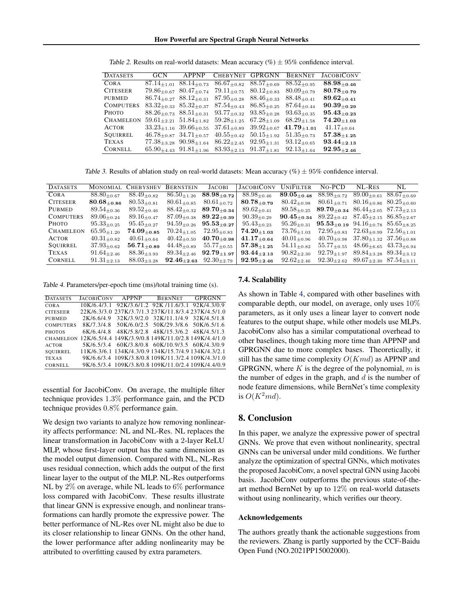<span id="page-8-0"></span>

| <b>DATASETS</b>  | GCN | <b>APPNP</b>                          | CHEBYNET GPRGNN    |                    | <b>BERNNET</b>     | <b>JACOBICONV</b>  |
|------------------|-----|---------------------------------------|--------------------|--------------------|--------------------|--------------------|
| <b>CORA</b>      |     | $87.14_{+1.01}$ $88.14_{+0.73}$       | $86.67_{\pm 0.82}$ | $88.57_{+0.69}$    | $88.52 + 0.95$     | $88.98 + 0.46$     |
| <b>CITESEER</b>  |     | $79.86_{\pm 0.67}$ $80.47_{\pm 0.74}$ | $79.11_{+0.75}$    | $80.12_{\pm 0.83}$ | $80.09 + 0.79$     | $80.78_{\pm 0.79}$ |
| PUBMED           |     | $86.74_{+0.27}$ $88.12_{+0.31}$       | $87.95_{+0.28}$    | $88.46_{+0.33}$    | $88.48 + 0.41$     | $89.62_{\pm 0.41}$ |
| <b>COMPUTERS</b> |     | $83.32_{+0.33}$ $85.32_{+0.37}$       | $87.54_{+0.43}$    | $86.85_{+0.25}$    | $87.64_{+0.44}$    | $90.39_{+0.29}$    |
| Рното            |     | $88.26 + 0.73$ $88.51 + 0.31$         | $93.77_{+0.32}$    | $93.85_{\pm 0.28}$ | $93.63_{\pm 0.35}$ | $95.43_{\pm 0.23}$ |
| <b>CHAMELEON</b> |     | $59.61_{+2.21}$ $51.84_{+1.82}$       | $59.28 + 1.25$     | $67.28 + 1.09$     | $68.29 + 1.58$     | $74.20_{+1.03}$    |
| <b>ACTOR</b>     |     | $33.23_{+1.16}$ $39.66_{+0.55}$       | $37.61_{\pm 0.89}$ | $39.92_{\pm 0.67}$ | $41.79_{+1.01}$    | $41.17_{+0.64}$    |
| SOUIRREL         |     | $46.78_{\pm 0.87}$ $34.71_{\pm 0.57}$ | $40.55_{+0.42}$    | $50.15_{+1.92}$    | $51.35_{+0.73}$    | $57.38_{\pm 1.25}$ |
| <b>TEXAS</b>     |     | $77.38_{+3.28}$ $90.98_{+1.64}$       | $86.22_{+2.45}$    | $92.95 + 1.31$     | $93.12_{+0.65}$    | $93.44_{+2.13}$    |
| CORNELL          |     | $65.90_{+4.43}$ $91.81_{+1.96}$       | $83.93_{+2.13}$    | $91.37_{+1.81}$    | $92.13_{+1.64}$    | $92.95_{+2.46}$    |

Table 2. Results on real-world datasets: Mean accuracy  $(\%) \pm 95\%$  confidence interval.

Table 3. Results of ablation study on real-world datasets: Mean accuracy  $(\%) \pm 95\%$  confidence interval.

<span id="page-8-1"></span>

| <b>DATASETS</b>  |                    | MONOMIAL CHEBYSHEV | <b>BERNSTEIN</b>   | <b>JACOBI</b>                                 | <b>JACOBICONV</b>           | <b>UNIFILTER</b>   | No-PCD                                                                                      | NL-RES                          | NL.                |
|------------------|--------------------|--------------------|--------------------|-----------------------------------------------|-----------------------------|--------------------|---------------------------------------------------------------------------------------------|---------------------------------|--------------------|
| CORA             | $88.80_{+0.67}$    | $88.49_{+0.82}$    | $86.50_{+1.26}$    | $88.98_{+0.72}$                               | $88.98 + 0.46$              | $89.05_{\pm 0.48}$ | $88.98_{+0.72}$                                                                             | $89.00_{\pm 0.61}$              | $88.67_{\pm 0.69}$ |
| <b>CITESEER</b>  | $80.68_{\pm 0.86}$ | $80.53_{+0.81}$    | $80.61_{+0.85}$    | $80.61_{+0.72}$                               | $80.78 + 0.79$              | $80.42_{\pm 0.98}$ | $80.61_{+0.71}$                                                                             | $80.16_{+0.86}$ $80.25_{+0.60}$ |                    |
| PUBMED           | $89.54_{\pm 0.36}$ | $89.52_{\pm 0.46}$ | $88.42_{\pm 0.32}$ | $89.70_{+0.34}$                               | $89.62_{\pm 0.41}$          | $89.58 + 0.25$     | 89.70+0.34 $86.44_{\pm{2.05}}$ $87.73_{\pm{2.13}}$                                          |                                 |                    |
| <b>COMPUTERS</b> | $89.06 + 0.24$     | $89.16_{\pm 0.47}$ |                    | $87.09_{\pm 0.38}$ $89.22_{\pm 0.39}$         | $90.39_{\pm 0.29}$          |                    | 90.45 <sub>+0.34</sub> 89.22 <sub>+0.42</sub> 87.45 <sub>+2.15</sub> 86.85 <sub>+2.67</sub> |                                 |                    |
| Рното            | $95.33_{+0.25}$    | $95.45 + 0.27$     |                    | $94.59_{\pm 0.26}$ $95.53_{\pm 0.27}$         | $95.43_{\pm 0.23}$          | $95.26_{\pm 0.31}$ | $95.53_{\pm 0.19}$ $94.16_{\pm 0.78}$ $85.65_{\pm 8.25}$                                    |                                 |                    |
| <b>CHAMELEON</b> | $65.95 + 1.20$     | $74.09_{\pm 0.85}$ | $70.24 + 1.05$     | $72.95_{\pm 0.83}$                            | $\textbf{74.20}_{\pm 1.03}$ | $73.76 + 1.03$     | $72.95_{+0.83}$ $72.63_{+0.99}$ $72.56_{+1.01}$                                             |                                 |                    |
| <b>ACTOR</b>     | $40.31_{+0.82}$    | $40.61_{\pm 0.64}$ | $40.42_{\pm 0.50}$ | $40.70_{\pm 0.98}$                            | $41.17_{\pm 0.64}$          | $40.01_{\pm 0.96}$ | $40.70_{+0.98}$ $37.80_{+1.32}$ $37.56_{+0.88}$                                             |                                 |                    |
| SOUIRREL         | $37.93_{\pm0.62}$  | $56.71_{+0.89}$    | $44.48_{\pm 0.89}$ | $55.77_{+0.55}$                               | $57.38_{+1.25}$             | $54.11_{+0.82}$    | $55.77_{+0.55}$                                                                             | $48.66_{+6.65}$ $43.73_{+6.94}$ |                    |
| TEXAS            | $91.64_{+2.46}$    | $88.36 + 3.93$     | $89.34_{+2.46}$    | $92.79_{+1.97}$                               | $93.44_{+2.13}$             | $90.82_{+2.30}$    | $92.79_{+1.97}$ $89.84_{+3.28}$ $89.34_{+3.12}$                                             |                                 |                    |
| <b>CORNELL</b>   | $91.31_{+2.13}$    | $88.03_{+3.28}$    |                    | 92.46 <sub>+2.63</sub> 92.30 <sub>+2.79</sub> | $92.95_{\pm 2.46}$          | $92.62_{+2.46}$    | $92.30_{+2.62}$ $89.67_{+2.30}$ $87.54_{+3.11}$                                             |                                 |                    |

<span id="page-8-2"></span>Table 4. Parameters/per-epoch time (ms)/total training time (s).

| <b>DATASETS</b>  | <b>JACOBICONV</b> | APPNP       | <b>BERNNET</b>                                                | <b>GPRGNN</b> |
|------------------|-------------------|-------------|---------------------------------------------------------------|---------------|
| CORA             |                   |             | 10K/6.4/3.1 92K/3.6/1.2 92K/11.6/3.1 92K/4.3/0.9              |               |
| <b>CITESEER</b>  |                   |             | 22K/6.3/3.0 237K/3.7/1.3 237K/11.8/3.4 237K/4.5/1.0           |               |
| PUBMED           | 2K/6.6/4.9        | 32K/3.9/2.0 | 32K/11.1/4.9 32K/4.5/1.8                                      |               |
| <b>COMPUTERS</b> | 8K/7.3/4.8        |             | 50K/6.0/2.5 50K/29.3/8.6 50K/6.5/1.6                          |               |
| <b>PHOTOS</b>    | 6K/6.4/4.8        |             | 48K/5.8/2.8 48K/15.3/6.2 48K/4.5/1.3                          |               |
|                  |                   |             | CHAMELEON 12K/6.5/4.4 149K/3.9/0.8 149K/11.0/2.8 149K/4.4/1.0 |               |
| <b>ACTOR</b>     | 5K/6.5/3.4        |             | 60K/3.8/0.8 60K/10.9/3.5 60K/4.3/0.9                          |               |
| SOUIRREL         |                   |             | 11K/6.3/6.1 134K/4.3/0.9 134K/15.7/4.9 134K/4.3/2.1           |               |
| <b>TEXAS</b>     |                   |             | 9K/6.6/3.4 109K/3.8/0.8 109K/11.3/2.4 109K/4.3/1.0            |               |
| CORNELL          |                   |             | 9K/6.5/3.4 109K/3.8/0.8 109K/11.0/2.4 109K/4.4/0.9            |               |

essential for JacobiConv. On average, the multiple filter technique provides 1.3% performance gain, and the PCD technique provides 0.8% performance gain.

We design two variants to analyze how removing nonlinearity affects performance: NL and NL-Res. NL replaces the linear transformation in JacobiConv with a 2-layer ReLU MLP, whose first-layer output has the same dimension as the model output dimension. Compared with NL, NL-Res uses residual connection, which adds the output of the first linear layer to the output of the MLP. NL-Res outperforms NL by 2% on average, while NL leads to 6% performance loss compared with JacobiConv. These results illustrate that linear GNN is expressive enough, and nonlinear transformations can hardly promote the expressive power. The better performance of NL-Res over NL might also be due to its closer relationship to linear GNNs. On the other hand, the lower performance after adding nonlinearity may be attributed to overfitting caused by extra parameters.

#### 7.4. Scalability

As shown in Table [4,](#page-8-2) compared with other baselines with comparable depth, our model, on average, only uses 10% parameters, as it only uses a linear layer to convert node features to the output shape, while other models use MLPs. JacobiConv also has a similar computational overhead to other baselines, though taking more time than APPNP and GPRGNN due to more complex bases. Theoretically, it still has the same time complexity  $O(Kmd)$  as APPNP and GPRGNN, where  $K$  is the degree of the polynomial,  $m$  is the number of edges in the graph, and  $d$  is the number of node feature dimensions, while BernNet's time complexity is  $O(K^2md)$ .

# 8. Conclusion

In this paper, we analyze the expressive power of spectral GNNs. We prove that even without nonlinearity, spectral GNNs can be universal under mild conditions. We further analyze the optimization of spectral GNNs, which motivates the proposed JacobiConv, a novel spectral GNN using Jacobi basis. JacobiConv outperforms the previous state-of-theart method BernNet by up to 12% on real-world datasets without using nonlinearity, which verifies our theory.

#### Acknowledgements

The authors greatly thank the actionable suggestions from the reviewers. Zhang is partly supported by the CCF-Baidu Open Fund (NO.2021PP15002000).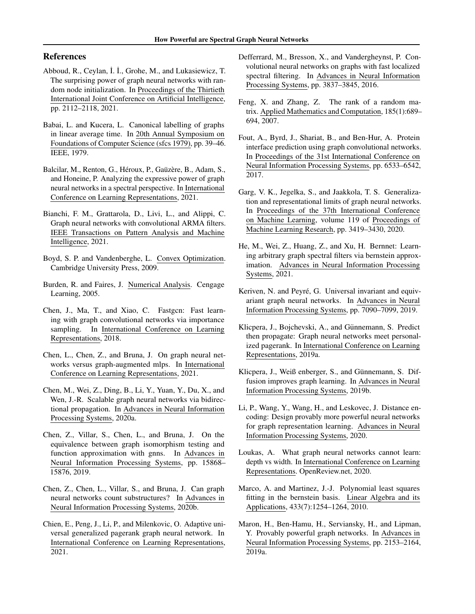# References

- <span id="page-9-23"></span>Abboud, R., Ceylan, I. I., Grohe, M., and Lukasiewicz, T. The surprising power of graph neural networks with random node initialization. In Proceedings of the Thirtieth International Joint Conference on Artificial Intelligence, pp. 2112–2118, 2021.
- <span id="page-9-10"></span>Babai, L. and Kucera, L. Canonical labelling of graphs in linear average time. In 20th Annual Symposium on Foundations of Computer Science (sfcs 1979), pp. 39–46. IEEE, 1979.
- <span id="page-9-19"></span>Balcilar, M., Renton, G., Héroux, P., Gaüzère, B., Adam, S., and Honeine, P. Analyzing the expressive power of graph neural networks in a spectral perspective. In International Conference on Learning Representations, 2021.
- <span id="page-9-7"></span>Bianchi, F. M., Grattarola, D., Livi, L., and Alippi, C. Graph neural networks with convolutional ARMA filters. IEEE Transactions on Pattern Analysis and Machine Intelligence, 2021.
- <span id="page-9-20"></span>Boyd, S. P. and Vandenberghe, L. Convex Optimization. Cambridge University Press, 2009.
- <span id="page-9-3"></span>Burden, R. and Faires, J. Numerical Analysis. Cengage Learning, 2005.
- <span id="page-9-1"></span>Chen, J., Ma, T., and Xiao, C. Fastgcn: Fast learning with graph convolutional networks via importance sampling. In International Conference on Learning Representations, 2018.
- <span id="page-9-18"></span>Chen, L., Chen, Z., and Bruna, J. On graph neural networks versus graph-augmented mlps. In International Conference on Learning Representations, 2021.
- <span id="page-9-9"></span>Chen, M., Wei, Z., Ding, B., Li, Y., Yuan, Y., Du, X., and Wen, J.-R. Scalable graph neural networks via bidirectional propagation. In Advances in Neural Information Processing Systems, 2020a.
- <span id="page-9-12"></span>Chen, Z., Villar, S., Chen, L., and Bruna, J. On the equivalence between graph isomorphism testing and function approximation with gnns. In Advances in Neural Information Processing Systems, pp. 15868– 15876, 2019.
- <span id="page-9-15"></span>Chen, Z., Chen, L., Villar, S., and Bruna, J. Can graph neural networks count substructures? In Advances in Neural Information Processing Systems, 2020b.
- <span id="page-9-2"></span>Chien, E., Peng, J., Li, P., and Milenkovic, O. Adaptive universal generalized pagerank graph neural network. In International Conference on Learning Representations, 2021.
- <span id="page-9-6"></span>Defferrard, M., Bresson, X., and Vandergheynst, P. Convolutional neural networks on graphs with fast localized spectral filtering. In Advances in Neural Information Processing Systems, pp. 3837–3845, 2016.
- <span id="page-9-22"></span>Feng, X. and Zhang, Z. The rank of a random matrix. Applied Mathematics and Computation, 185(1):689– 694, 2007.
- <span id="page-9-0"></span>Fout, A., Byrd, J., Shariat, B., and Ben-Hur, A. Protein interface prediction using graph convolutional networks. In Proceedings of the 31st International Conference on Neural Information Processing Systems, pp. 6533–6542, 2017.
- <span id="page-9-17"></span>Garg, V. K., Jegelka, S., and Jaakkola, T. S. Generalization and representational limits of graph neural networks. In Proceedings of the 37th International Conference on Machine Learning, volume 119 of Proceedings of Machine Learning Research, pp. 3419–3430, 2020.
- <span id="page-9-4"></span>He, M., Wei, Z., Huang, Z., and Xu, H. Bernnet: Learning arbitrary graph spectral filters via bernstein approximation. Advances in Neural Information Processing Systems, 2021.
- <span id="page-9-14"></span>Keriven, N. and Peyré, G. Universal invariant and equivariant graph neural networks. In Advances in Neural Information Processing Systems, pp. 7090–7099, 2019.
- <span id="page-9-5"></span>Klicpera, J., Bojchevski, A., and Günnemann, S. Predict then propagate: Graph neural networks meet personalized pagerank. In International Conference on Learning Representations, 2019a.
- <span id="page-9-8"></span>Klicpera, J., Weiß enberger, S., and Günnemann, S. Diffusion improves graph learning. In Advances in Neural Information Processing Systems, 2019b.
- <span id="page-9-13"></span>Li, P., Wang, Y., Wang, H., and Leskovec, J. Distance encoding: Design provably more powerful neural networks for graph representation learning. Advances in Neural Information Processing Systems, 2020.
- <span id="page-9-16"></span>Loukas, A. What graph neural networks cannot learn: depth vs width. In International Conference on Learning Representations. OpenReview.net, 2020.
- <span id="page-9-21"></span>Marco, A. and Martinez, J.-J. Polynomial least squares fitting in the bernstein basis. Linear Algebra and its Applications, 433(7):1254–1264, 2010.
- <span id="page-9-11"></span>Maron, H., Ben-Hamu, H., Serviansky, H., and Lipman, Y. Provably powerful graph networks. In Advances in Neural Information Processing Systems, pp. 2153–2164, 2019a.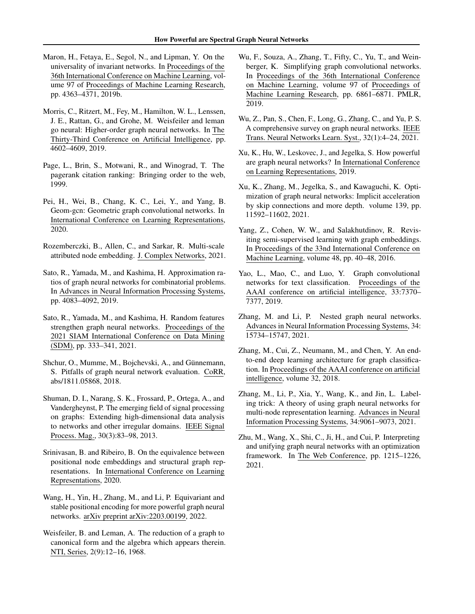- <span id="page-10-15"></span>Maron, H., Fetaya, E., Segol, N., and Lipman, Y. On the universality of invariant networks. In Proceedings of the 36th International Conference on Machine Learning, volume 97 of Proceedings of Machine Learning Research, pp. 4363–4371, 2019b.
- <span id="page-10-10"></span>Morris, C., Ritzert, M., Fey, M., Hamilton, W. L., Lenssen, J. E., Rattan, G., and Grohe, M. Weisfeiler and leman go neural: Higher-order graph neural networks. In The Thirty-Third Conference on Artificial Intelligence, pp. 4602–4609, 2019.
- <span id="page-10-4"></span>Page, L., Brin, S., Motwani, R., and Winograd, T. The pagerank citation ranking: Bringing order to the web, 1999.
- <span id="page-10-21"></span>Pei, H., Wei, B., Chang, K. C., Lei, Y., and Yang, B. Geom-gcn: Geometric graph convolutional networks. In International Conference on Learning Representations, 2020.
- <span id="page-10-20"></span>Rozemberczki, B., Allen, C., and Sarkar, R. Multi-scale attributed node embedding. J. Complex Networks, 2021.
- <span id="page-10-11"></span>Sato, R., Yamada, M., and Kashima, H. Approximation ratios of graph neural networks for combinatorial problems. In Advances in Neural Information Processing Systems, pp. 4083–4092, 2019.
- <span id="page-10-12"></span>Sato, R., Yamada, M., and Kashima, H. Random features strengthen graph neural networks. Proceedings of the 2021 SIAM International Conference on Data Mining (SDM), pp. 333–341, 2021.
- <span id="page-10-19"></span>Shchur, O., Mumme, M., Bojchevski, A., and Günnemann, S. Pitfalls of graph neural network evaluation. CoRR, abs/1811.05868, 2018.
- <span id="page-10-2"></span>Shuman, D. I., Narang, S. K., Frossard, P., Ortega, A., and Vandergheynst, P. The emerging field of signal processing on graphs: Extending high-dimensional data analysis to networks and other irregular domains. IEEE Signal Process. Mag., 30(3):83–98, 2013.
- <span id="page-10-8"></span>Srinivasan, B. and Ribeiro, B. On the equivalence between positional node embeddings and structural graph representations. In International Conference on Learning Representations, 2020.
- <span id="page-10-16"></span>Wang, H., Yin, H., Zhang, M., and Li, P. Equivariant and stable positional encoding for more powerful graph neural networks. arXiv preprint arXiv:2203.00199, 2022.
- <span id="page-10-7"></span>Weisfeiler, B. and Leman, A. The reduction of a graph to canonical form and the algebra which appears therein. NTI, Series, 2(9):12–16, 1968.
- <span id="page-10-6"></span>Wu, F., Souza, A., Zhang, T., Fifty, C., Yu, T., and Weinberger, K. Simplifying graph convolutional networks. In Proceedings of the 36th International Conference on Machine Learning, volume 97 of Proceedings of Machine Learning Research, pp. 6861–6871. PMLR, 2019.
- <span id="page-10-3"></span>Wu, Z., Pan, S., Chen, F., Long, G., Zhang, C., and Yu, P. S. A comprehensive survey on graph neural networks. IEEE Trans. Neural Networks Learn. Syst., 32(1):4–24, 2021.
- <span id="page-10-1"></span>Xu, K., Hu, W., Leskovec, J., and Jegelka, S. How powerful are graph neural networks? In International Conference on Learning Representations, 2019.
- <span id="page-10-17"></span>Xu, K., Zhang, M., Jegelka, S., and Kawaguchi, K. Optimization of graph neural networks: Implicit acceleration by skip connections and more depth. volume 139, pp. 11592–11602, 2021.
- <span id="page-10-18"></span>Yang, Z., Cohen, W. W., and Salakhutdinov, R. Revisiting semi-supervised learning with graph embeddings. In Proceedings of the 33nd International Conference on Machine Learning, volume 48, pp. 40–48, 2016.
- <span id="page-10-0"></span>Yao, L., Mao, C., and Luo, Y. Graph convolutional networks for text classification. Proceedings of the AAAI conference on artificial intelligence, 33:7370– 7377, 2019.
- <span id="page-10-14"></span>Zhang, M. and Li, P. Nested graph neural networks. Advances in Neural Information Processing Systems, 34: 15734–15747, 2021.
- <span id="page-10-9"></span>Zhang, M., Cui, Z., Neumann, M., and Chen, Y. An endto-end deep learning architecture for graph classification. In Proceedings of the AAAI conference on artificial intelligence, volume 32, 2018.
- <span id="page-10-13"></span>Zhang, M., Li, P., Xia, Y., Wang, K., and Jin, L. Labeling trick: A theory of using graph neural networks for multi-node representation learning. Advances in Neural Information Processing Systems, 34:9061–9073, 2021.
- <span id="page-10-5"></span>Zhu, M., Wang, X., Shi, C., Ji, H., and Cui, P. Interpreting and unifying graph neural networks with an optimization framework. In The Web Conference, pp. 1215–1226, 2021.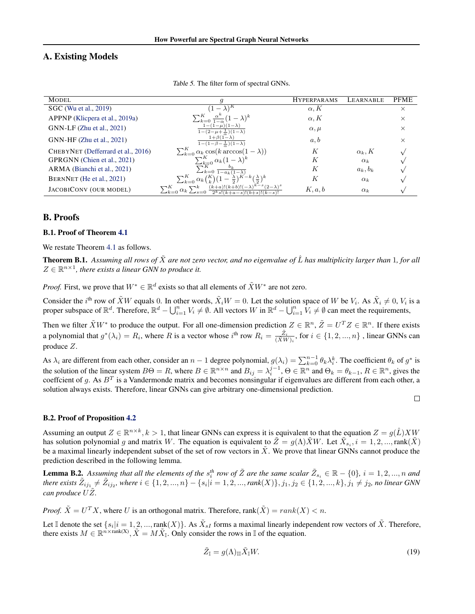# <span id="page-11-1"></span><span id="page-11-0"></span>A. Existing Models

| <b>MODEL</b>                       | q                                                                                                  | <b>HYPERPARAMS</b> | LEARNABLE     | <b>PFME</b> |
|------------------------------------|----------------------------------------------------------------------------------------------------|--------------------|---------------|-------------|
| SGC (Wu et al., 2019)              | $(-\lambda)^{n}$                                                                                   | $\alpha, K$        |               | $\times$    |
| APPNP (Klicpera et al., 2019a)     | $\sum_{k=0}^K \frac{\alpha^k}{1-\alpha} (1-\lambda)^k$                                             | $\alpha, K$        |               | $\times$    |
| GNN-LF (Zhu et al., 2021)          | $1-(1-\mu)(1-\lambda)$<br>$1-(2-\mu+\frac{1}{2})(1-\lambda)$                                       | $\alpha, \mu$      |               | $\times$    |
| GNN-HF (Zhu et al., 2021)          | $1+\beta(1-\lambda)$<br>$1-(1-\beta-\frac{1}{\alpha})(1-\lambda)$                                  | a, b               |               | $\times$    |
| CHEBYNET (Defferrard et al., 2016) | $\sum_{k=0}^{K} \alpha_k \cos(k \arccos(1-\lambda))$                                               | К                  | $\alpha_k, K$ |             |
| GPRGNN (Chien et al., 2021)        |                                                                                                    | К                  | $\alpha_k$    |             |
| ARMA (Bianchi et al., 2021)        | $\frac{\sum_{k=0}^{K} \alpha_k (1-\lambda)^k}{\sum_{k=0}^{K} \frac{b_k}{1-a_k(1-\lambda)}}$        | К                  | $a_k, b_k$    |             |
| BERNNET (He et al., 2021)          | $\sum_{k=0}^K \alpha_k {K \choose k} (1-\frac{\lambda}{2})^{K-k} (\frac{\lambda}{2})^k$            | К                  | $\alpha_k$    |             |
| JACOBICONV (OUR MODEL)             | $(k+a)!(k+b)!(-\lambda)^k$<br>$\sum_{k=0}^K \alpha_k \sum_{s=0}^k$<br>$2^k s!(k+a-s)!(b+s)!(k-s)!$ | K, a, b            | $\alpha_k$    |             |

Table 5. The filter form of spectral GNNs.

# B. Proofs

#### B.1. Proof of Theorem [4.1](#page-3-4)

We restate Theorem [4.1](#page-3-4) as follows.

**Theorem B.1.** Assuming all rows of  $\tilde{X}$  are not zero vector, and no eigenvalue of  $\hat{L}$  has multiplicity larger than 1, for all  $Z \in \mathbb{R}^{n \times 1}$ , there exists a linear GNN to produce it.

*Proof.* First, we prove that  $W^* \in \mathbb{R}^d$  exists so that all elements of  $\tilde{X}W^*$  are not zero.

Consider the *i*<sup>th</sup> row of  $\tilde{X}W$  equals 0. In other words,  $\tilde{X}_iW = 0$ . Let the solution space of W be  $V_i$ . As  $\tilde{X}_i \neq 0$ ,  $V_i$  is a proper subspace of  $\mathbb{R}^d$ . Therefore,  $\mathbb{R}^d - \bigcup_{i=1}^n V_i \neq \emptyset$ . All vectors W in  $\mathbb{R}^d - \bigcup_{i=1}^n V_i \neq \emptyset$  can meet the requirements,

Then we filter  $\tilde{X}W^*$  to produce the output. For all one-dimension prediction  $Z \in \mathbb{R}^n$ ,  $\tilde{Z} = U^T Z \in \mathbb{R}^n$ . If there exists a polynomial that  $g^*(\lambda_i) = R_i$ , where R is a vector whose  $i^{\text{th}}$  row  $R_i = \frac{\tilde{Z}_i}{\sqrt{Y}M_i}$  $\frac{Z_i}{(\tilde{X}W)_i}$ , for  $i \in \{1, 2, ..., n\}$  , linear GNNs can produce Z.

As  $\lambda_i$  are different from each other, consider an  $n-1$  degree polynomial,  $g(\lambda_i) = \sum_{k=0}^{n-1} \theta_k \lambda_i^k$ . The coefficient  $\theta_k$  of  $g^*$  is the solution of the linear system  $B\Theta = R$ , where  $B \in \mathbb{R}^{n \times n}$  and  $B_{ij} = \lambda_i^{j-1}$ ,  $\Theta \in \mathbb{R}^n$  and  $\Theta_k = \theta_{k-1}$ ,  $R \in \mathbb{R}^n$ , gives the coeffcient of g. As  $B<sup>T</sup>$  is a Vandermonde matrix and becomes nonsingular if eigenvalues are different from each other, a solution always exists. Therefore, linear GNNs can give arbitrary one-dimensional prediction.

#### B.2. Proof of Proposition [4.2](#page-3-1)

Assuming an output  $Z \in \mathbb{R}^{n \times k}$ ,  $k > 1$ , that linear GNNs can express it is equivalent to that the equation  $Z = g(\hat{L})XW$ has solution polynomial g and matrix W. The equation is equivalent to  $\tilde{Z} = g(\Lambda)\tilde{X}W$ . Let  $\tilde{X}_{s_i}$ ,  $i = 1, 2, ..., \text{rank}(\tilde{X})$ be a maximal linearly independent subset of the set of row vectors in  $\tilde{X}$ . We prove that linear GNNs cannot produce the prediction described in the following lemma.

**Lemma B.2.** Assuming that all the elements of the  $s_i^{th}$  row of  $\tilde{Z}$  are the same scalar  $\tilde{Z}_{s_i} \in \mathbb{R} - \{0\}$ ,  $i = 1, 2, ..., n$  and  $there \ exists \ \tilde{Z}_{ij_1} \neq \tilde{Z}_{ij_2}$ , where  $i \in \{1, 2, ..., n\} - \{s_i | i = 1, 2, ..., rank(X)\}, j_1, j_2 \in \{1, 2, ..., k\}, j_1 \neq j_2$ , no linear GNN *can produce*  $U\tilde{Z}$ *.* 

*Proof.*  $\tilde{X} = U^T X$ , where U is an orthogonal matrix. Therefore,  $rank(\tilde{X}) = rank(X) < n$ .

Let I denote the set  $\{s_i | i = 1, 2, ..., \text{rank}(X)\}\)$ . As  $\tilde{X}_{sI}$  forms a maximal linearly independent row vectors of  $\tilde{X}$ . Therefore, there exists  $M \in \mathbb{R}^{n \times \text{rank}(X)}$ ,  $\tilde{X} = M\tilde{X}_{\mathbb{I}}$ . Only consider the rows in  $\mathbb{I}$  of the equation.

$$
\tilde{Z}_{\mathbb{I}} = g(\Lambda)_{\mathbb{II}} \tilde{X}_{\mathbb{I}} W. \tag{19}
$$

 $\Box$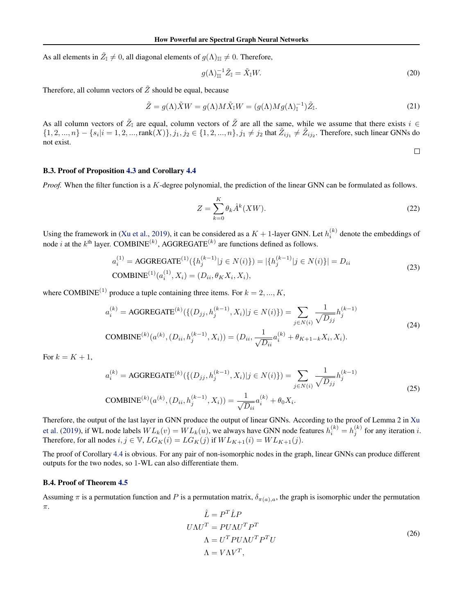As all elements in  $\tilde{Z}_{\mathbb{I}} \neq 0$ , all diagonal elements of  $g(\Lambda)_{\mathbb{II}} \neq 0$ . Therefore,

$$
g(\Lambda)^{-1}_{\mathbb{II}}\tilde{Z}_{\mathbb{I}}=\tilde{X}_{\mathbb{I}}W.\tag{20}
$$

Therefore, all column vectors of  $\tilde{Z}$  should be equal, because

$$
\tilde{Z} = g(\Lambda)\tilde{X}W = g(\Lambda)M\tilde{X}_{\mathbb{I}}W = (g(\Lambda)Mg(\Lambda)_{\mathbb{I}}^{-1})\tilde{Z}_{\mathbb{I}}.
$$
\n(21)

As all column vectors of  $\tilde{Z}_{\mathbb{I}}$  are equal, column vectors of  $\tilde{Z}$  are all the same, while we assume that there exists  $i \in$  $\{1, 2, ..., n\} - \{s_i | i = 1, 2, ..., \text{rank}(X)\}, j_1, j_2 \in \{1, 2, ..., n\}, j_1 \neq j_2 \text{ that } \tilde{Z}_{ij_1} \neq \tilde{Z}_{ij_2}.$  Therefore, such linear GNNs do not exist.

B.3. Proof of Proposition [4.3](#page-3-3) and Corollary [4.4](#page-4-5)

*Proof.* When the filter function is a K-degree polynomial, the prediction of the linear GNN can be formulated as follows.

$$
Z = \sum_{k=0}^{K} \theta_k \hat{A}^k (XW).
$$
 (22)

 $\Box$ 

Using the framework in [\(Xu et al.,](#page-10-1) [2019\)](#page-10-1), it can be considered as a  $K + 1$ -layer GNN. Let  $h_i^{(k)}$  denote the embeddings of node *i* at the *k*<sup>th</sup> layer. COMBINE<sup>(k)</sup>, AGGREGATE<sup>(k)</sup> are functions defined as follows.

$$
a_i^{(1)} = \text{AGGREGATE}^{(1)}(\{h_j^{(k-1)} | j \in N(i)\}) = |\{h_j^{(k-1)} | j \in N(i)\}| = D_{ii}
$$
  
COMBINE<sup>(1)</sup>(a<sub>i</sub><sup>(1)</sup>, X<sub>i</sub>) = (D<sub>ii</sub>, θ<sub>K</sub> X<sub>i</sub>, X<sub>i</sub>), (23)

where COMBINE<sup>(1)</sup> produce a tuple containing three items. For  $k = 2, ..., K$ ,

$$
a_i^{(k)} = \text{AGGREGATE}^{(k)}(\{(D_{jj}, h_j^{(k-1)}, X_i)|j \in N(i)\}) = \sum_{j \in N(i)} \frac{1}{\sqrt{D_{jj}}} h_j^{(k-1)}
$$
\n
$$
\text{COMBINE}^{(k)}(a^{(k)}, (D_{ii}, h_j^{(k-1)}, X_i)) = (D_{ii}, \frac{1}{\sqrt{D_{ii}}} a_i^{(k)} + \theta_{K+1-k} X_i, X_i).
$$
\n
$$
(24)
$$

For  $k = K + 1$ ,

$$
a_i^{(k)} = \text{AGGREGATE}^{(k)}(\{(D_{jj}, h_j^{(k-1)}, X_i)|j \in N(i)\}) = \sum_{j \in N(i)} \frac{1}{\sqrt{D_{jj}}} h_j^{(k-1)}
$$
\n
$$
\text{COMBINE}^{(k)}(a^{(k)}, (D_{ii}, h_j^{(k-1)}, X_i)) = \frac{1}{\sqrt{D_{ii}}} a_i^{(k)} + \theta_0 X_i.
$$
\n
$$
(25)
$$

Therefore, the output of the last layer in GNN produce the output of linear GNNs. According to the proof of Lemma 2 in [Xu](#page-10-1) [et al.](#page-10-1) [\(2019\)](#page-10-1), if WL node labels  $WL_k(v) = WL_k(u)$ , we always have GNN node features  $h_i^{(k)} = h_j^{(k)}$  for any iteration *i*. Therefore, for all nodes  $i, j \in \mathbb{V}$ ,  $LG_K(i) = LG_K(j)$  if  $WL_{K+1}(i) = WL_{K+1}(j)$ .

The proof of Corollary [4.4](#page-4-5) is obvious. For any pair of non-isomorphic nodes in the graph, linear GNNs can produce different outputs for the two nodes, so 1-WL can also differentiate them.

#### B.4. Proof of Theorem [4.5](#page-4-0)

Assuming  $\pi$  is a permutation function and P is a permutation matrix,  $\delta_{\pi(a),a}$ , the graph is isomorphic under the permutation π.

$$
\hat{L} = P^T \hat{L} P
$$
\n
$$
U \Lambda U^T = P U \Lambda U^T P^T
$$
\n
$$
\Lambda = U^T P U \Lambda U^T P^T U
$$
\n
$$
\Lambda = V \Lambda V^T,
$$
\n(26)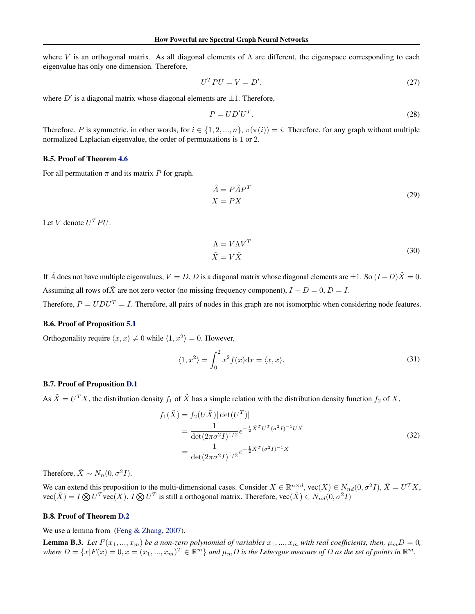where V is an orthogonal matrix. As all diagonal elements of  $\Lambda$  are different, the eigenspace corresponding to each eigenvalue has only one dimension. Therefore,

$$
U^T P U = V = D',\tag{27}
$$

where  $D'$  is a diagonal matrix whose diagonal elements are  $\pm 1$ . Therefore,

$$
P = U D' U^T. \tag{28}
$$

Therefore, P is symmetric, in other words, for  $i \in \{1, 2, ..., n\}$ ,  $\pi(\pi(i)) = i$ . Therefore, for any graph without multiple normalized Laplacian eigenvalue, the order of permuatations is 1 or 2.

#### B.5. Proof of Theorem [4.6](#page-4-1)

For all permutation  $\pi$  and its matrix P for graph.

$$
\hat{A} = P\hat{A}P^{T}
$$
  

$$
X = PX
$$
 (29)

Let V denote  $U^T P U$ .

$$
\Lambda = V\Lambda V^T
$$
  
\n
$$
\tilde{X} = V\tilde{X}
$$
\n(30)

If  $\hat{A}$  does not have multiple eigenvalues,  $V = D$ , D is a diagonal matrix whose diagonal elements are  $\pm 1$ . So  $(I - D)\tilde{X} = 0$ . Assuming all rows of  $\tilde{X}$  are not zero vector (no missing frequency component),  $I - D = 0$ ,  $D = I$ .

Therefore,  $P = UDU^{T} = I$ . Therefore, all pairs of nodes in this graph are not isomorphic when considering node features.

### B.6. Proof of Proposition [5.1](#page-6-1)

Orthogonality require  $\langle x, x \rangle \neq 0$  while  $\langle 1, x^2 \rangle = 0$ . However,

$$
\langle 1, x^2 \rangle = \int_0^2 x^2 f(x) dx = \langle x, x \rangle.
$$
 (31)

#### <span id="page-13-0"></span>B.7. Proof of Proposition [D.1](#page-15-2)

As  $\tilde{X} = U^T X$ , the distribution density  $f_1$  of  $\tilde{X}$  has a simple relation with the distribution density function  $f_2$  of X,

$$
f_1(\tilde{X}) = f_2(U\tilde{X}) |\det(U^T)|
$$
  
= 
$$
\frac{1}{\det(2\pi\sigma^2 I)^{1/2}} e^{-\frac{1}{2}\tilde{X}^T U^T (\sigma^2 I)^{-1} U \tilde{X}}
$$
  
= 
$$
\frac{1}{\det(2\pi\sigma^2 I)^{1/2}} e^{-\frac{1}{2}\tilde{X}^T (\sigma^2 I)^{-1} \tilde{X}}
$$
(32)

Therefore,  $\tilde{X} \sim N_n(0, \sigma^2 I)$ .

We can extend this proposition to the multi-dimensional cases. Consider  $X \in \mathbb{R}^{n \times d}$ , vec $(X) \in N_{nd}(0, \sigma^2 I)$ ,  $\tilde{X} = U^T X$ ,  $\text{vec}(\tilde{X}) = I \bigotimes U^T \text{vec}(X)$ .  $I \bigotimes U^T$  is still a orthogonal matrix. Therefore,  $\text{vec}(\tilde{X}) \in N_{nd}(0, \sigma^2 I)$ 

# <span id="page-13-1"></span>B.8. Proof of Theorem [D.2](#page-16-1)

We use a lemma from [\(Feng & Zhang,](#page-9-22) [2007\)](#page-9-22).

**Lemma B.3.** Let  $F(x_1, ..., x_m)$  be a non-zero polynomial of variables  $x_1, ..., x_m$  with real coefficients, then,  $\mu_m D = 0$ , where  $D = \{x|F(x) = 0, x = (x_1, ..., x_m)^T \in \mathbb{R}^m\}$  and  $\mu_m D$  is the Lebesgue measure of D as the set of points in  $\mathbb{R}^m$ .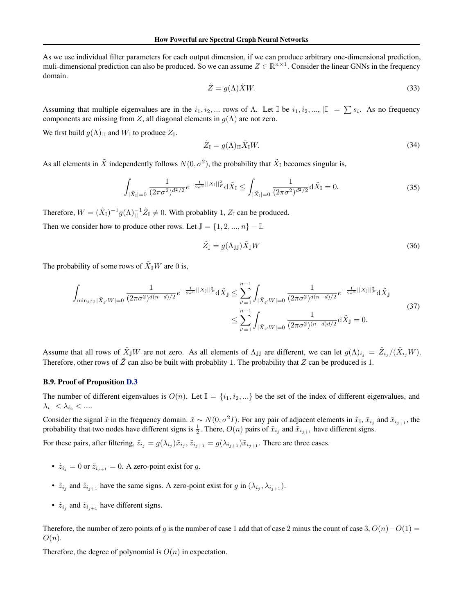As we use individual filter parameters for each output dimension, if we can produce arbitrary one-dimensional prediction, muli-dimensional prediction can also be produced. So we can assume  $Z \in \mathbb{R}^{n \times 1}$ . Consider the linear GNNs in the frequency domain.

$$
\tilde{Z} = g(\Lambda)\tilde{X}W.\tag{33}
$$

Assuming that multiple eigenvalues are in the  $i_1, i_2, ...$  rows of  $\Lambda$ . Let  $\mathbb{I}$  be  $i_1, i_2, ...$ ,  $\|\cdot\| = \sum s_i$ . As no frequency components are missing from Z, all diagonal elements in  $g(\Lambda)$  are not zero.

We first build  $g(\Lambda)_{\mathbb{II}}$  and  $W_{\mathbb{I}}$  to produce  $Z_{\mathbb{I}}$ .

$$
\tilde{Z}_{\mathbb{I}} = g(\Lambda)_{\mathbb{II}} \tilde{X}_{\mathbb{I}} W. \tag{34}
$$

As all elements in  $\tilde{X}$  independently follows  $N(0, \sigma^2)$ , the probability that  $\tilde{X}_{\mathbb{I}}$  becomes singular is,

$$
\int_{|\tilde{X}_{\mathbb{I}}|=0} \frac{1}{(2\pi\sigma^2)^{d^2/2}} e^{-\frac{1}{2\sigma^2}||X_{\mathbb{I}}||_F^2} d\tilde{X}_{\mathbb{I}} \le \int_{|\tilde{X}_{\mathbb{I}}|=0} \frac{1}{(2\pi\sigma^2)^{d^2/2}} d\tilde{X}_{\mathbb{I}} = 0.
$$
\n(35)

Therefore,  $W = (\tilde{X}_{\mathbb{I}})^{-1} g(\Lambda)^{-1}_{\mathbb{I}\mathbb{I}} \tilde{Z}_{\mathbb{I}} \neq 0$ . With probablity 1,  $Z_{\mathbb{I}}$  can be produced.

Then we consider how to produce other rows. Let  $\mathbb{J} = \{1, 2, ..., n\} - \mathbb{I}$ .

$$
\tilde{Z}_{\mathbb{J}} = g(\Lambda_{\mathbb{J}\mathbb{J}}) \tilde{X}_{\mathbb{J}} W \tag{36}
$$

The probability of some rows of  $\tilde{X}_{\mathbb{J}}W$  are 0 is,

$$
\int_{\min_{i\in\mathbb{J}}|\tilde{X}_{i'}W|=0} \frac{1}{(2\pi\sigma^2)^{d(n-d)/2}} e^{-\frac{1}{2\sigma^2}||X_{\mathbb{J}}||_F^2} d\tilde{X}_{\mathbb{J}} \le \sum_{i'=1}^{n-1} \int_{|\tilde{X}_{i'}W|=0} \frac{1}{(2\pi\sigma^2)^{d(n-d)/2}} e^{-\frac{1}{2\sigma^2}||X_{\mathbb{J}}||_F^2} d\tilde{X}_{\mathbb{J}}
$$
\n
$$
\le \sum_{i'=1}^{n-1} \int_{|\tilde{X}_{i'}W|=0} \frac{1}{(2\pi\sigma^2)^{(n-d)/2}} d\tilde{X}_{\mathbb{J}} = 0.
$$
\n(37)

Assume that all rows of  $\tilde{X}_{\mathbb{J}}W$  are not zero. As all elements of  $\Lambda_{\mathbb{J}\mathbb{J}}$  are different, we can let  $g(\Lambda)_{i_j} = \tilde{Z}_{i_j}/(\tilde{X}_{i_j}W)$ . Therefore, other rows of  $\tilde{Z}$  can also be built with probablity 1. The probability that Z can be produced is 1.

#### <span id="page-14-0"></span>B.9. Proof of Proposition [D.3](#page-16-2)

The number of different eigenvalues is  $O(n)$ . Let  $\mathbb{I} = \{i_1, i_2, ...\}$  be the set of the index of different eigenvalues, and  $\lambda_{i_1}<\lambda_{i_2}<\ldots$ 

Consider the signal  $\tilde{x}$  in the frequency domain.  $\tilde{x} \sim N(0, \sigma^2 I)$ . For any pair of adjacent elements in  $\tilde{x}_1$ ,  $\tilde{x}_{i_1}$  and  $\tilde{x}_{i_{i+1}}$ , the probability that two nodes have different signs is  $\frac{1}{2}$ . There,  $O(n)$  pairs of  $\tilde{x}_{i_j}$  and  $\tilde{x}_{i_{j+1}}$  have different signs.

For these pairs, after filtering,  $\tilde{z}_{i_j} = g(\lambda_{i_j})\tilde{x}_{i_j}$ ,  $\tilde{z}_{i_{j+1}} = g(\lambda_{i_{j+1}})\tilde{x}_{i_{j+1}}$ . There are three cases.

- $\tilde{z}_{i_j} = 0$  or  $\tilde{z}_{i_{j+1}} = 0$ . A zero-point exist for g.
- $\tilde{z}_{i_j}$  and  $\tilde{z}_{i_{j+1}}$  have the same signs. A zero-point exist for g in  $(\lambda_{i_j}, \lambda_{i_{j+1}})$ .
- $\tilde{z}_{i_j}$  and  $\tilde{z}_{i_{j+1}}$  have different signs.

Therefore, the number of zero points of g is the number of case 1 add that of case 2 minus the count of case 3,  $O(n)-O(1)$  $O(n).$ 

Therefore, the degree of polynomial is  $O(n)$  in expectation.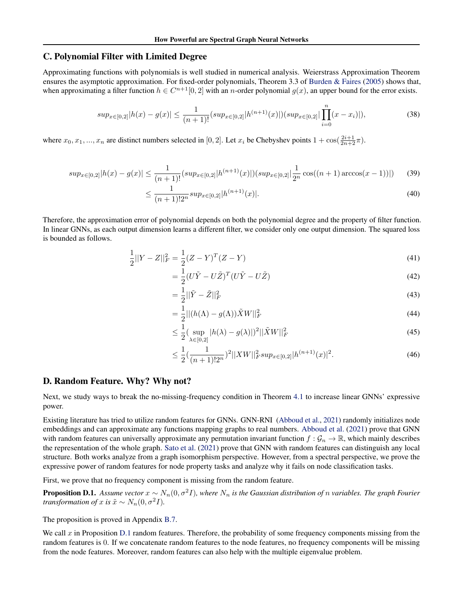# <span id="page-15-0"></span>C. Polynomial Filter with Limited Degree

Approximating functions with polynomials is well studied in numerical analysis. Weierstrass Approximation Theorem ensures the asymptotic approximation. For fixed-order polynomials, Theorem 3.3 of [Burden & Faires](#page-9-3) [\(2005\)](#page-9-3) shows that, when approximating a filter function  $h \in C^{n+1}[0,2]$  with an *n*-order polynomial  $g(x)$ , an upper bound for the error exists.

$$
sup_{x\in[0,2]}|h(x)-g(x)| \leq \frac{1}{(n+1)!}(sup_{x\in[0,2]}|h^{(n+1)}(x)|)(sup_{x\in[0,2]}|\prod_{i=0}^{n}(x-x_i)|),
$$
\n(38)

where  $x_0, x_1, ..., x_n$  are distinct numbers selected in [0, 2]. Let  $x_i$  be Chebyshev points  $1 + \cos(\frac{2i+1}{2n+2}\pi)$ .

$$
sup_{x \in [0,2]} |h(x) - g(x)| \le \frac{1}{(n+1)!} (sup_{x \in [0,2]} |h^{(n+1)}(x)|) (sup_{x \in [0,2]} |\frac{1}{2^n} \cos((n+1)\arccos(x-1))|) \tag{39}
$$

$$
\leq \frac{1}{(n+1)!2^n} \sup_{x \in [0,2]} |h^{(n+1)}(x)|. \tag{40}
$$

Therefore, the approximation error of polynomial depends on both the polynomial degree and the property of filter function. In linear GNNs, as each output dimension learns a different filter, we consider only one output dimension. The squared loss is bounded as follows.

$$
\frac{1}{2}||Y - Z||_F^2 = \frac{1}{2}(Z - Y)^T(Z - Y)
$$
\n(41)

$$
=\frac{1}{2}(U\tilde{Y} - U\tilde{Z})^T(U\tilde{Y} - U\tilde{Z})
$$
\n(42)

$$
=\frac{1}{2}||\tilde{Y} - \tilde{Z}||_F^2
$$
\n(43)

$$
=\frac{1}{2}||(h(\Lambda) - g(\Lambda))\tilde{X}W||_F^2
$$
\n(44)

$$
\leq \frac{1}{2} \left( \sup_{\lambda \in [0,2]} |h(\lambda) - g(\lambda)| \right)^2 ||\tilde{X}W||_F^2 \tag{45}
$$

$$
\leq \frac{1}{2} \left( \frac{1}{(n+1)! 2^n} \right)^2 ||XW||_F^2 \sup_{x \in [0,2]} |h^{(n+1)}(x)|^2. \tag{46}
$$

# <span id="page-15-1"></span>D. Random Feature. Why? Why not?

Next, we study ways to break the no-missing-frequency condition in Theorem [4.1](#page-3-4) to increase linear GNNs' expressive power.

Existing literature has tried to utilize random features for GNNs. GNN-RNI [\(Abboud et al.,](#page-9-23) [2021\)](#page-9-23) randomly initializes node embeddings and can approximate any functions mapping graphs to real numbers. [Abboud et al.](#page-9-23) [\(2021\)](#page-9-23) prove that GNN with random features can universally approximate any permutation invariant function  $f: \mathcal{G}_n \to \mathbb{R}$ , which mainly describes the representation of the whole graph. [Sato et al.](#page-10-12) [\(2021\)](#page-10-12) prove that GNN with random features can distinguish any local structure. Both works analyze from a graph isomorphism perspective. However, from a spectral perspective, we prove the expressive power of random features for node property tasks and analyze why it fails on node classification tasks.

First, we prove that no frequency component is missing from the random feature.

=

<span id="page-15-2"></span>**Proposition D.1.** Assume vector  $x \sim N_n(0, \sigma^2 I)$ , where  $N_n$  is the Gaussian distribution of n variables. The graph Fourier *transformation of* x *is*  $\tilde{x} \sim N_n(0, \sigma^2 I)$ *.* 

The proposition is proved in Appendix [B.7.](#page-13-0)

We call  $x$  in Proposition [D.1](#page-15-2) random features. Therefore, the probability of some frequency components missing from the random features is 0. If we concatenate random features to the node features, no frequency components will be missing from the node features. Moreover, random features can also help with the multiple eigenvalue problem.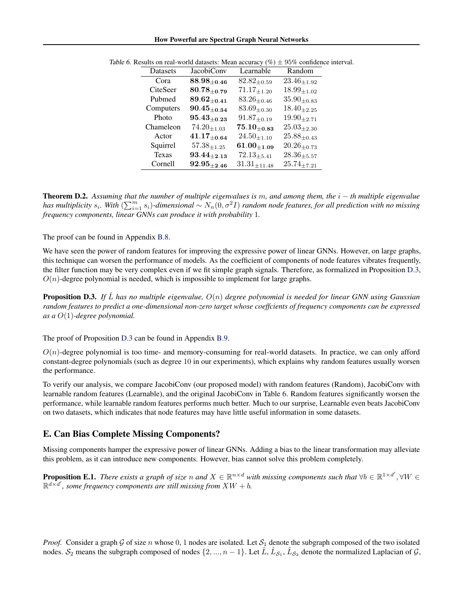How Powerful are Spectral Graph Neural Networks

| Datasets     | <b>JacobiConv</b>  | Learnable           | Random              |
|--------------|--------------------|---------------------|---------------------|
| Cora         | $88.98_{\pm 0.46}$ | $82.82_{\pm 0.59}$  | $23.46_{\pm 1.92}$  |
| CiteSeer     | $80.78_{\pm 0.79}$ | $71.17_{\pm 1.20}$  | $18.99_{\pm 1.02}$  |
| Pubmed       | $89.62_{\pm 0.41}$ | $83.26_{\pm 0.46}$  | $35.90_{\pm 0.83}$  |
| Computers    | $90.45_{\pm 0.34}$ | $83.69_{\pm0.30}$   | $18.40_{\pm 2.25}$  |
| Photo        | $95.43_{\pm 0.23}$ | $91.87_{\pm 0.19}$  | $19.90_{\pm 2.71}$  |
| Chameleon    | $74.20_{\pm 1.03}$ | $75.10_{\pm 0.83}$  | $25.03_{\pm 2.30}$  |
| Actor        | $41.17_{\pm 0.64}$ | $24.50_{\pm 1.10}$  | $25.88_{\pm 0.43}$  |
| Squirrel     | $57.38_{\pm 1.25}$ | $61.00_{\pm 1.09}$  | $20.26_{\pm 0.73}$  |
| <b>Texas</b> | $93.44_{\pm 2.13}$ | $72.13_{\pm 5.41}$  | $28.36_{\pm 5.57}$  |
| Cornell      | $92.95_{\pm 2.46}$ | $31.31_{\pm 11.48}$ | $25.74_{\pm{7.21}}$ |
|              |                    |                     |                     |

<span id="page-16-3"></span>

|  | Table 6. Results on real-world datasets: Mean accuracy $(\% ) \pm 95\%$ confidence interval. |
|--|----------------------------------------------------------------------------------------------|
|--|----------------------------------------------------------------------------------------------|

<span id="page-16-1"></span>Theorem D.2. *Assuming that the number of multiple eigenvalues is* m*, and among them, the* i − *th multiple eigenvalue* has multiplicity  $s_i$ . With  $(\sum_{i=1}^m s_i)$ -dimensional  $\sim N_n(0,\sigma^2I)$  random node features, for all prediction with no missing *frequency components, linear GNNs can produce it with probability* 1*.*

The proof can be found in Appendix [B.8.](#page-13-1)

We have seen the power of random features for improving the expressive power of linear GNNs. However, on large graphs, this technique can worsen the performance of models. As the coefficient of components of node features vibrates frequently, the filter function may be very complex even if we fit simple graph signals. Therefore, as formalized in Proposition [D.3,](#page-16-2)  $O(n)$ -degree polynomial is needed, which is impossible to implement for large graphs.

<span id="page-16-2"></span>Proposition D.3. *If* Lˆ *has no multiple eigenvalue,* O(n) *degree polynomial is needed for linear GNN using Gaussian random features to predict a one-dimensional non-zero target whose coeffcients of frequency components can be expressed as a* O(1)*-degree polynomial.*

The proof of Proposition [D.3](#page-16-2) can be found in Appendix [B.9.](#page-14-0)

 $O(n)$ -degree polynomial is too time- and memory-consuming for real-world datasets. In practice, we can only afford constant-degree polynomials (such as degree 10 in our experiments), which explains why random features usually worsen the performance.

To verify our analysis, we compare JacobiConv (our proposed model) with random features (Random), JacobiConv with learnable random features (Learnable), and the original JacobiConv in Table [6.](#page-16-3) Random features significantly worsen the performance, while learnable random features performs much better. Much to our surprise, Learnable even beats JacobiConv on two datasets, which indicates that node features may have little useful information in some datasets.

# <span id="page-16-0"></span>E. Can Bias Complete Missing Components?

Missing components hamper the expressive power of linear GNNs. Adding a bias to the linear transformation may alleviate this problem, as it can introduce new components. However, bias cannot solve this problem completely.

**Proposition E.1.** There exists a graph of size n and  $X \in \mathbb{R}^{n \times d}$  with missing components such that  $\forall b \in \mathbb{R}^{1 \times d'}$ ,  $\forall W \in$  $\mathbb{R}^{d \times d'}$ , some frequency components are still missing from  $XW + b$ .

*Proof.* Consider a graph G of size n whose 0, 1 nodes are isolated. Let  $S_1$  denote the subgraph composed of the two isolated nodes.  $S_2$  means the subgraph composed of nodes  $\{2, ..., n-1\}$ . Let  $\hat{L}, \hat{L}_{S_1}, \hat{L}_{S_2}$  denote the normalized Laplacian of  $\mathcal{G}$ ,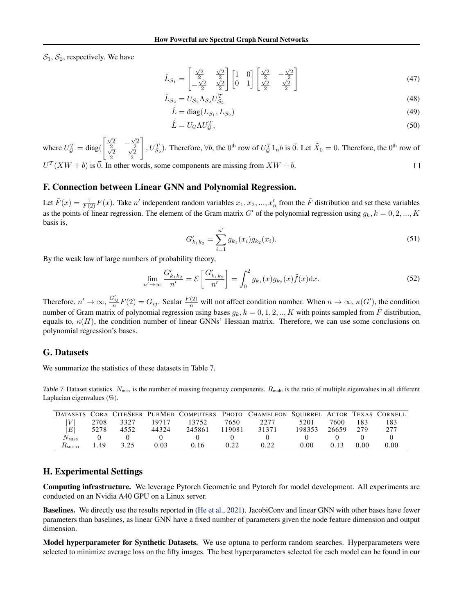$S_1, S_2$ , respectively. We have

$$
\hat{L}_{S_1} = \begin{bmatrix} \frac{\sqrt{2}}{2} & \frac{\sqrt{2}}{2} \\ -\frac{\sqrt{2}}{2} & \frac{\sqrt{2}}{2} \end{bmatrix} \begin{bmatrix} 1 & 0 \\ 0 & 1 \end{bmatrix} \begin{bmatrix} \frac{\sqrt{2}}{2} & -\frac{\sqrt{2}}{2} \\ \frac{\sqrt{2}}{2} & \frac{\sqrt{2}}{2} \end{bmatrix}
$$
\n(47)\n  
\n
$$
\hat{L}_{S_1} = U_S \Lambda_S U_S^T
$$
\n(48)

$$
S_2 = U_{S_2} \Lambda_{S_2} U_{S_2}^T
$$
\n<sup>(48)</sup>

$$
\hat{L} = \text{diag}(L_{\mathcal{S}_1}, L_{\mathcal{S}_2})
$$
\n(49)

$$
\hat{L} = U_{\mathcal{G}} \Lambda U_{\mathcal{G}}^T,\tag{50}
$$

 $\begin{bmatrix} \frac{\sqrt{2}}{2} & -\frac{\sqrt{2}}{2} \end{bmatrix}$ 1 ,  $U_{S_2}^T$ ). Therefore,  $\forall b$ , the 0<sup>th</sup> row of  $U_{\mathcal{G}}^T1_n b$  is  $\vec{0}$ . Let  $\tilde{X}_0 = 0$ . Therefore, the 0<sup>th</sup> row of where  $U_{\mathcal{G}}^T = \text{diag}($  $\frac{\sqrt{2}}{2}$   $\frac{\sqrt{2}}{2}$  $\frac{\sqrt{2}}{2}$  $U<sup>T</sup>(XW + b)$  is  $\vec{0}$ . In other words, some components are missing from  $XW + b$ .  $\Box$ 

# <span id="page-17-1"></span>F. Connection between Linear GNN and Polynomial Regression.

Let  $\tilde{F}(x) = \frac{1}{F(2)}F(x)$ . Take n' independent random variables  $x_1, x_2, ..., x_n'$  from the  $\tilde{F}$  distribution and set these variables as the points of linear regression. The element of the Gram matrix G' of the polynomial regression using  $g_k$ ,  $k = 0, 2, ..., K$ basis is,

$$
G'_{k_1k_2} = \sum_{i=1}^{n'} g_{k_1}(x_i) g_{k_2}(x_i).
$$
 (51)

By the weak law of large numbers of probability theory,

$$
\lim_{n' \to \infty} \frac{G'_{k_1 k_2}}{n'} = \mathcal{E}\left[\frac{G'_{k_1 k_2}}{n'}\right] = \int_0^2 g_{k_1}(x) g_{k_2}(x) \tilde{f}(x) dx.
$$
\n(52)

Therefore,  $n' \to \infty$ ,  $\frac{G'_{ij}}{n}F(2) = G_{ij}$ . Scalar  $\frac{F(2)}{n}$  will not affect condition number. When  $n \to \infty$ ,  $\kappa(G')$ , the condition number of Gram matrix of polynomial regression using bases  $g_k$ ,  $k = 0, 1, 2, \dots, K$  with points sampled from  $\tilde{F}$  distribution, equals to,  $\kappa(H)$ , the condition number of linear GNNs' Hessian matrix. Therefore, we can use some conclusions on polynomial regression's bases.

### <span id="page-17-0"></span>G. Datasets

We summarize the statistics of these datasets in Table [7.](#page-17-3)

<span id="page-17-3"></span>Table 7. Dataset statistics.  $N_{\text{miss}}$  is the number of missing frequency components.  $R_{\text{multi}}$  is the ratio of multiple eigenvalues in all different Laplacian eigenvalues (%).

|                                        |      |      |       |        |        | DATASETS CORA CITESEER PUBMED COMPUTERS PHOTO CHAMELEON SOUIRREL ACTOR TEXAS CORNELL |        |       |      |      |
|----------------------------------------|------|------|-------|--------|--------|--------------------------------------------------------------------------------------|--------|-------|------|------|
|                                        | 2708 | 3327 | 19717 | 13752  | 7650   | 22.77                                                                                | 5201   | 7600  | 183  | 183  |
| $E\vert$                               | 5278 | 4552 | 44324 | 245861 | 119081 | 31371                                                                                | 198353 | 26659 | 279  | 277  |
| $N_{\rm MISS}$                         |      |      |       |        |        |                                                                                      |        |       |      |      |
| $R_{\scriptscriptstyle{\rm MIII\,TI}}$ | 1.49 | 3.25 | 0.03  | 0.16   | 0.22   | 0.22                                                                                 | 0.00   | 0.13  | 0.00 | 0.00 |

# <span id="page-17-2"></span>H. Experimental Settings

Computing infrastructure. We leverage Pytorch Geometric and Pytorch for model development. All experiments are conducted on an Nvidia A40 GPU on a Linux server.

Baselines. We directly use the results reported in [\(He et al.,](#page-9-4) [2021\)](#page-9-4). JacobiConv and linear GNN with other bases have fewer parameters than baselines, as linear GNN have a fixed number of parameters given the node feature dimension and output dimension.

Model hyperparameter for Synthetic Datasets. We use optuna to perform random searches. Hyperparameters were selected to minimize average loss on the fifty images. The best hyperparameters selected for each model can be found in our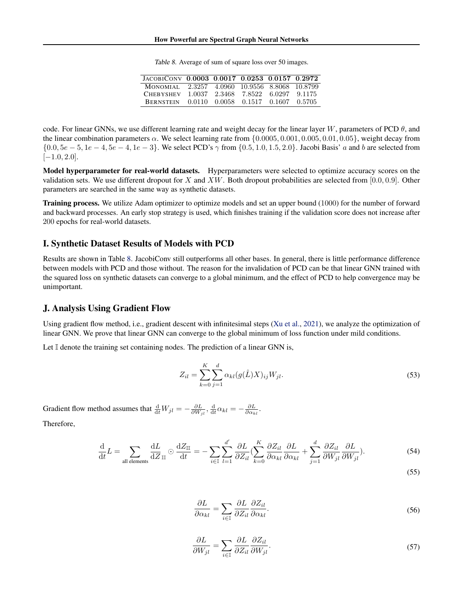| Table 8. Average of sum of square loss over 50 images. |  |  |
|--------------------------------------------------------|--|--|
|--------------------------------------------------------|--|--|

| JACOBICONV 0.0003 0.0017 0.0253 0.0157 0.2972 |  |                                    |  |
|-----------------------------------------------|--|------------------------------------|--|
| MONOMIAL 2.3257 4.0960 10.9556 8.8068 10.8799 |  |                                    |  |
| <b>CHERYSHEV</b>                              |  | 1.0037 2.3468 7.8522 6.0297 9.1175 |  |
| <b>BERNSTEIN</b>                              |  | 0.0110 0.0058 0.1517 0.1607 0.5705 |  |

<span id="page-18-2"></span>code. For linear GNNs, we use different learning rate and weight decay for the linear layer W, parameters of PCD  $\theta$ , and the linear combination parameters  $\alpha$ . We select learning rate from  $\{0.0005, 0.001, 0.005, 0.01, 0.05\}$ , weight decay from {0.0,  $5e - 5$ ,  $1e - 4$ ,  $5e - 4$ ,  $1e - 3$ }. We select PCD's  $\gamma$  from {0.5, 1.0, 1.5, 2.0}. Jacobi Basis' a and b are selected from  $[-1.0, 2.0].$ 

Model hyperparameter for real-world datasets. Hyperparameters were selected to optimize accuracy scores on the validation sets. We use different dropout for X and XW. Both dropout probabilities are selected from  $[0.0, 0.9]$ . Other parameters are searched in the same way as synthetic datasets.

Training process. We utilize Adam optimizer to optimize models and set an upper bound (1000) for the number of forward and backward processes. An early stop strategy is used, which finishes training if the validation score does not increase after 200 epochs for real-world datasets.

### <span id="page-18-1"></span>I. Synthetic Dataset Results of Models with PCD

Results are shown in Table [8.](#page-18-2) JacobiConv still outperforms all other bases. In general, there is little performance difference between models with PCD and those without. The reason for the invalidation of PCD can be that linear GNN trained with the squared loss on synthetic datasets can converge to a global minimum, and the effect of PCD to help convergence may be unimportant.

### <span id="page-18-0"></span>J. Analysis Using Gradient Flow

Using gradient flow method, i.e., gradient descent with infinitesimal steps [\(Xu et al.,](#page-10-17) [2021\)](#page-10-17), we analyze the optimization of linear GNN. We prove that linear GNN can converge to the global minimum of loss function under mild conditions.

Let  $\mathbb I$  denote the training set containing nodes. The prediction of a linear GNN is,

$$
Z_{il} = \sum_{k=0}^{K} \sum_{j=1}^{d} \alpha_{kl} (g(\hat{L}) X)_{ij} W_{jl}.
$$
 (53)

Gradient flow method assumes that  $\frac{d}{dt}W_{jl} = -\frac{\partial L}{\partial W_{jl}}$ ,  $\frac{d}{dt}\alpha_{kl} = -\frac{\partial L}{\partial \alpha_{kl}}$ . Therefore,

$$
\frac{\mathrm{d}}{\mathrm{d}t}L = \sum_{\text{all elements}} \frac{\mathrm{d}L}{\mathrm{d}Z}_{\text{III}} \odot \frac{\mathrm{d}Z_{\text{III}}}{\mathrm{d}t} = -\sum_{i \in \mathbb{I}} \sum_{l=1}^{d'} \frac{\partial L}{\partial Z_{il}} \left( \sum_{k=0}^{K} \frac{\partial Z_{il}}{\partial \alpha_{kl}} \frac{\partial L}{\partial \alpha_{kl}} + \sum_{j=1}^{d} \frac{\partial Z_{il}}{\partial W_{jl}} \frac{\partial L}{\partial W_{jl}} \right).
$$
(54)

(55)

$$
\frac{\partial L}{\partial \alpha_{kl}} = \sum_{i \in \mathbb{I}} \frac{\partial L}{\partial Z_{il}} \frac{\partial Z_{il}}{\partial \alpha_{kl}}.
$$
\n(56)

$$
\frac{\partial L}{\partial W_{jl}} = \sum_{i \in \mathbb{I}} \frac{\partial L}{\partial Z_{il}} \frac{\partial Z_{il}}{\partial W_{jl}}.
$$
\n(57)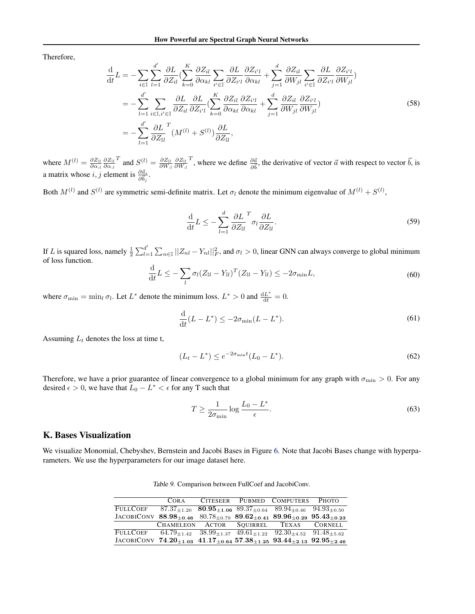Therefore,

$$
\frac{\mathrm{d}}{\mathrm{d}t}L = -\sum_{i \in \mathbb{I}} \sum_{l=1}^{d'} \frac{\partial L}{\partial Z_{il}} \left( \sum_{k=0}^{K} \frac{\partial Z_{il}}{\partial \alpha_{kl}} \sum_{i' \in \mathbb{I}} \frac{\partial L}{\partial Z_{i'l}} \frac{\partial Z_{i'l}}{\partial \alpha_{kl}} + \sum_{j=1}^{d} \frac{\partial Z_{il}}{\partial W_{jl}} \sum_{i' \in \mathbb{I}} \frac{\partial L}{\partial Z_{i'l}} \frac{\partial Z_{i'l}}{\partial W_{jl}} \right)
$$
\n
$$
= -\sum_{l=1}^{d'} \sum_{i \in \mathbb{I}, i' \in \mathbb{I}} \frac{\partial L}{\partial Z_{il}} \frac{\partial L}{\partial Z_{i'l}} \left( \sum_{k=0}^{K} \frac{\partial Z_{il}}{\partial \alpha_{kl}} \frac{\partial Z_{i'l}}{\partial \alpha_{kl}} + \sum_{j=1}^{d} \frac{\partial Z_{il}}{\partial W_{jl}} \frac{\partial Z_{i'l}}{\partial W_{jl}} \right)
$$
\n
$$
= -\sum_{l=1}^{d'} \frac{\partial L}{\partial Z_{ll}} \frac{\partial L}{\partial W_{il}} (M^{(l)} + S^{(l)}) \frac{\partial L}{\partial Z_{ll}},
$$
\n(58)

where  $M^{(l)} = \frac{\partial Z_{\text{IL}}}{\partial \alpha_{:l}} \frac{\partial Z_{\text{IL}}}{\partial \alpha_{:l}}$  $T$  and  $S^{(l)} = \frac{\partial Z_{\text{II}}}{\partial W_{:l}} \frac{\partial Z_{\text{II}}}{\partial W_{:l}}$ <sup>T</sup>, where we define  $\frac{\partial \vec{a}}{\partial \vec{b}}$ , the derivative of vector  $\vec{a}$  with respect to vector  $\vec{b}$ , is a matrix whose *i*, *j* element is  $\frac{\partial \vec{a}_i}{\partial \vec{b}_j}$ .

Both  $M^{(l)}$  and  $S^{(l)}$  are symmetric semi-definite matrix. Let  $\sigma_l$  denote the minimum eigenvalue of  $M^{(l)} + S^{(l)}$ ,

$$
\frac{\mathrm{d}}{\mathrm{d}t}L \le -\sum_{l=1}^{d} \frac{\partial L}{\partial Z_{\mathbb{II}}}^{T} \sigma_l \frac{\partial L}{\partial Z_{\mathbb{II}}}.
$$
\n(59)

If L is squared loss, namely  $\frac{1}{2} \sum_{l=1}^{d'}$  $\int_{l=1}^{d'} \sum_{n\in\mathbb{I}} ||Z_{nl} - Y_{nl}||^2_F$ , and  $\sigma_l > 0$ , linear GNN can always converge to global minimum of loss function.

$$
\frac{\mathrm{d}}{\mathrm{d}t}L \leq -\sum_{l} \sigma_l (Z_{\mathbb{I}l} - Y_{\mathbb{I}l})^T (Z_{\mathbb{I}l} - Y_{\mathbb{I}l}) \leq -2\sigma_{\min}L,\tag{60}
$$

where  $\sigma_{\min} = \min_l \sigma_l$ . Let  $L^*$  denote the minimum loss.  $L^* > 0$  and  $\frac{dL^*}{dt} = 0$ .

$$
\frac{\mathrm{d}}{\mathrm{d}t}(L - L^*) \le -2\sigma_{\min}(L - L^*). \tag{61}
$$

Assuming  $L_t$  denotes the loss at time t,

$$
(L_t - L^*) \le e^{-2\sigma_{\min}t} (L_0 - L^*).
$$
\n(62)

Therefore, we have a prior guarantee of linear convergence to a global minimum for any graph with  $\sigma_{\min} > 0$ . For any desired  $\epsilon > 0$ , we have that  $L_0 - L^* < \epsilon$  for any T such that

$$
T \ge \frac{1}{2\sigma_{\min}} \log \frac{L_0 - L^*}{\epsilon}.\tag{63}
$$

# <span id="page-19-0"></span>K. Bases Visualization

<span id="page-19-1"></span>We visualize Monomial, Chebyshev, Bernstein and Jacobi Bases in Figure [6.](#page-20-1) Note that Jacobi Bases change with hyperparameters. We use the hyperparameters for our image dataset here.

| Table 9. Comparison between FullCoef and JacobiConv. |
|------------------------------------------------------|
|                                                      |

|                                                                                                                               | COR A                                  |  | CITESEER PUBMED COMPUTERS PHOTO                                                 |  |
|-------------------------------------------------------------------------------------------------------------------------------|----------------------------------------|--|---------------------------------------------------------------------------------|--|
| FULLCOEF                                                                                                                      |                                        |  | $87.37_{+1.20}$ $80.95_{+1.06}$ $89.37_{+0.64}$ $89.94_{+0.46}$ $94.93_{+0.50}$ |  |
| JACOBICONV $88.98_{+0.46}$ $80.78_{+0.79}$ $89.62_{+0.41}$ $89.96_{+0.29}$ $95.43_{+0.23}$                                    |                                        |  |                                                                                 |  |
|                                                                                                                               | CHAMELEON ACTOR SOUIRREL TEXAS CORNELL |  |                                                                                 |  |
| <b>FULLCOEF</b>                                                                                                               |                                        |  | $64.79_{+1.42}$ $38.99_{+1.37}$ $49.61_{+1.22}$ $92.30_{+4.52}$ $91.48_{+5.62}$ |  |
| JACOBICONV 74.20 <sub>+1.03</sub> 41.17 <sub>+0.64</sub> 57.38 <sub>+1.25</sub> 93.44 <sub>+2.13</sub> 92.95 <sub>+2.46</sub> |                                        |  |                                                                                 |  |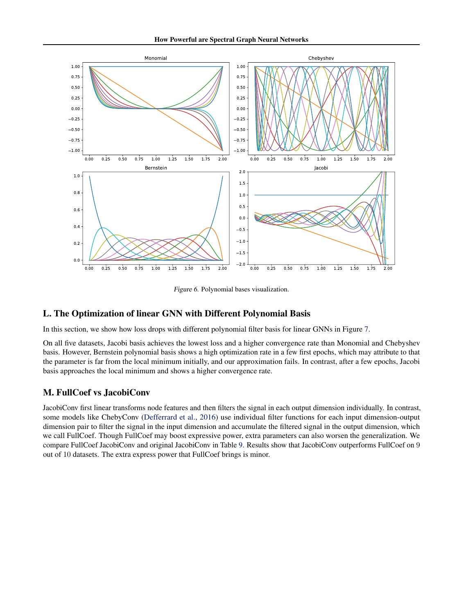

Figure 6. Polynomial bases visualization.

# <span id="page-20-1"></span><span id="page-20-0"></span>L. The Optimization of linear GNN with Different Polynomial Basis

In this section, we show how loss drops with different polynomial filter basis for linear GNNs in Figure [7.](#page-21-0)

On all five datasets, Jacobi basis achieves the lowest loss and a higher convergence rate than Monomial and Chebyshev basis. However, Bernstein polynomial basis shows a high optimization rate in a few first epochs, which may attribute to that the parameter is far from the local minimum initially, and our approximation fails. In contrast, after a few epochs, Jacobi basis approaches the local minimum and shows a higher convergence rate.

# M. FullCoef vs JacobiConv

JacobiConv first linear transforms node features and then filters the signal in each output dimension individually. In contrast, some models like ChebyConv [\(Defferrard et al.,](#page-9-6) [2016\)](#page-9-6) use individual filter functions for each input dimension-output dimension pair to filter the signal in the input dimension and accumulate the filtered signal in the output dimension, which we call FullCoef. Though FullCoef may boost expressive power, extra parameters can also worsen the generalization. We compare FullCoef JacobiConv and original JacobiConv in Table [9.](#page-19-1) Results show that JacobiConv outperforms FullCoef on 9 out of 10 datasets. The extra express power that FullCoef brings is minor.